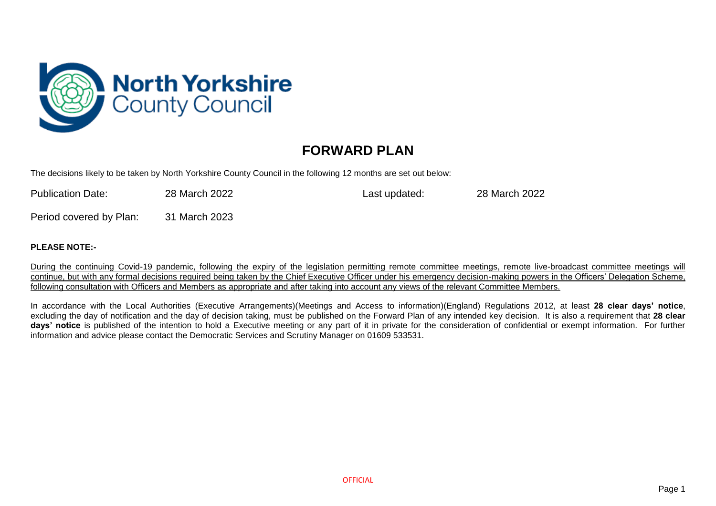

## **FORWARD PLAN**

The decisions likely to be taken by North Yorkshire County Council in the following 12 months are set out below:

| <b>Publication Date:</b> | 28 March 2022 | Last updated: | 28 March 2022 |
|--------------------------|---------------|---------------|---------------|
| Period covered by Plan:  | 31 March 2023 |               |               |

## **PLEASE NOTE:-**

During the continuing Covid-19 pandemic, following the expiry of the legislation permitting remote committee meetings, remote live-broadcast committee meetings will continue, but with any formal decisions required being taken by the Chief Executive Officer under his emergency decision-making powers in the Officers' Delegation Scheme, following consultation with Officers and Members as appropriate and after taking into account any views of the relevant Committee Members.

In accordance with the Local Authorities (Executive Arrangements)(Meetings and Access to information)(England) Regulations 2012, at least **28 clear days' notice**, excluding the day of notification and the day of decision taking, must be published on the Forward Plan of any intended key decision. It is also a requirement that **28 clear days' notice** is published of the intention to hold a Executive meeting or any part of it in private for the consideration of confidential or exempt information. For further information and advice please contact the Democratic Services and Scrutiny Manager on 01609 533531.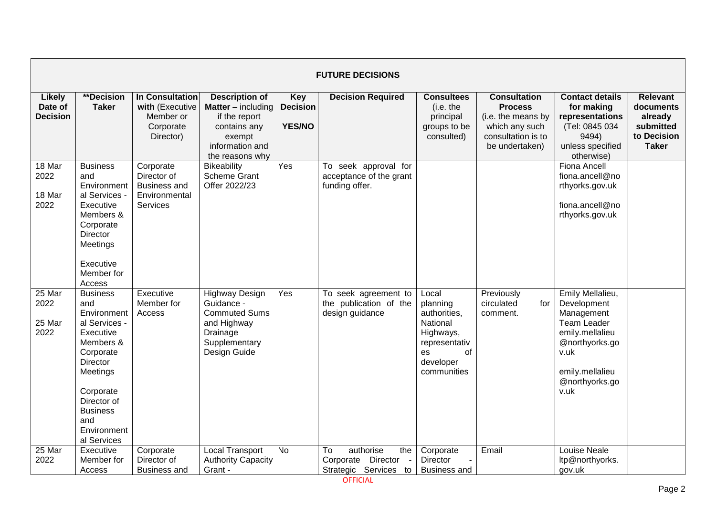|                                             | <b>FUTURE DECISIONS</b>                                                                                                                                                                                   |                                                                              |                                                                                                                                     |                                         |                                                                             |                                                                                                                     |                                                                                                                       |                                                                                                                                                               |                                                                                     |  |  |  |
|---------------------------------------------|-----------------------------------------------------------------------------------------------------------------------------------------------------------------------------------------------------------|------------------------------------------------------------------------------|-------------------------------------------------------------------------------------------------------------------------------------|-----------------------------------------|-----------------------------------------------------------------------------|---------------------------------------------------------------------------------------------------------------------|-----------------------------------------------------------------------------------------------------------------------|---------------------------------------------------------------------------------------------------------------------------------------------------------------|-------------------------------------------------------------------------------------|--|--|--|
| <b>Likely</b><br>Date of<br><b>Decision</b> | **Decision<br><b>Taker</b>                                                                                                                                                                                | In Consultation<br>with (Executive<br>Member or<br>Corporate<br>Director)    | <b>Description of</b><br><b>Matter</b> – including<br>if the report<br>contains any<br>exempt<br>information and<br>the reasons why | Key<br><b>Decision</b><br><b>YES/NO</b> | <b>Decision Required</b>                                                    | <b>Consultees</b><br>(i.e. the<br>principal<br>groups to be<br>consulted)                                           | <b>Consultation</b><br><b>Process</b><br>(i.e. the means by<br>which any such<br>consultation is to<br>be undertaken) | <b>Contact details</b><br>for making<br>representations<br>(Tel: 0845 034<br>9494)<br>unless specified<br>otherwise)                                          | <b>Relevant</b><br>documents<br>already<br>submitted<br>to Decision<br><b>Taker</b> |  |  |  |
| 18 Mar<br>2022<br>18 Mar<br>2022            | <b>Business</b><br>and<br>Environment<br>al Services -<br>Executive<br>Members &<br>Corporate<br><b>Director</b><br>Meetings<br>Executive<br>Member for<br>Access                                         | Corporate<br>Director of<br><b>Business and</b><br>Environmental<br>Services | <b>Bikeability</b><br><b>Scheme Grant</b><br>Offer 2022/23                                                                          | es                                      | To seek approval for<br>acceptance of the grant<br>funding offer.           |                                                                                                                     |                                                                                                                       | Fiona Ancell<br>fiona.ancell@no<br>rthyorks.gov.uk<br>fiona.ancell@no<br>rthyorks.gov.uk                                                                      |                                                                                     |  |  |  |
| 25 Mar<br>2022<br>25 Mar<br>2022            | <b>Business</b><br>and<br>Environment<br>al Services -<br>Executive<br>Members &<br>Corporate<br>Director<br>Meetings<br>Corporate<br>Director of<br><b>Business</b><br>and<br>Environment<br>al Services | Executive<br>Member for<br>Access                                            | <b>Highway Design</b><br>Guidance -<br><b>Commuted Sums</b><br>and Highway<br>Drainage<br>Supplementary<br>Design Guide             | es                                      | To seek agreement to<br>the publication of the<br>design guidance           | Local<br>planning<br>authorities,<br>National<br>Highways,<br>representativ<br>οf<br>es<br>developer<br>communities | Previously<br>circulated<br>for<br>comment.                                                                           | Emily Mellalieu,<br>Development<br>Management<br><b>Team Leader</b><br>emily.mellalieu<br>@northyorks.go<br>v.uk<br>emily.mellalieu<br>@northyorks.go<br>v.uk |                                                                                     |  |  |  |
| 25 Mar<br>2022                              | Executive<br>Member for<br>Access                                                                                                                                                                         | Corporate<br>Director of<br><b>Business and</b>                              | <b>Local Transport</b><br><b>Authority Capacity</b><br>Grant -                                                                      | No                                      | authorise<br>To<br>the<br>Director<br>Corporate<br>Strategic Services<br>to | Corporate<br><b>Director</b><br><b>Business and</b>                                                                 | Email                                                                                                                 | Louise Neale<br>ltp@northyorks.<br>gov.uk                                                                                                                     |                                                                                     |  |  |  |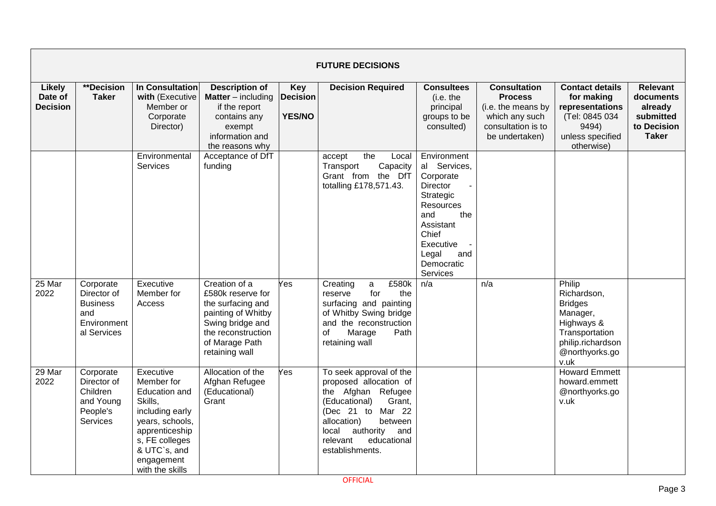|                                             | <b>FUTURE DECISIONS</b>                                                          |                                                                                                                                                                                |                                                                                                                                                             |                                         |                                                                                                                                                                                                                                 |                                                                                                                                                                           |                                                                                                                       |                                                                                                                                    |                                                                                     |  |  |  |  |
|---------------------------------------------|----------------------------------------------------------------------------------|--------------------------------------------------------------------------------------------------------------------------------------------------------------------------------|-------------------------------------------------------------------------------------------------------------------------------------------------------------|-----------------------------------------|---------------------------------------------------------------------------------------------------------------------------------------------------------------------------------------------------------------------------------|---------------------------------------------------------------------------------------------------------------------------------------------------------------------------|-----------------------------------------------------------------------------------------------------------------------|------------------------------------------------------------------------------------------------------------------------------------|-------------------------------------------------------------------------------------|--|--|--|--|
| <b>Likely</b><br>Date of<br><b>Decision</b> | **Decision<br><b>Taker</b>                                                       | In Consultation<br>with (Executive<br>Member or<br>Corporate<br>Director)                                                                                                      | <b>Description of</b><br><b>Matter</b> – including<br>if the report<br>contains any<br>exempt<br>information and<br>the reasons why                         | Key<br><b>Decision</b><br><b>YES/NO</b> | <b>Decision Required</b>                                                                                                                                                                                                        | <b>Consultees</b><br>(i.e. the<br>principal<br>groups to be<br>consulted)                                                                                                 | <b>Consultation</b><br><b>Process</b><br>(i.e. the means by<br>which any such<br>consultation is to<br>be undertaken) | <b>Contact details</b><br>for making<br>representations<br>(Tel: 0845 034<br>9494)<br>unless specified<br>otherwise)               | <b>Relevant</b><br>documents<br>already<br>submitted<br>to Decision<br><b>Taker</b> |  |  |  |  |
|                                             |                                                                                  | Environmental<br><b>Services</b>                                                                                                                                               | Acceptance of DfT<br>funding                                                                                                                                |                                         | the<br>accept<br>Local<br>Transport<br>Capacity<br>Grant from<br>the DfT<br>totalling £178,571.43.                                                                                                                              | Environment<br>al Services,<br>Corporate<br>Director<br>Strategic<br>Resources<br>and<br>the<br>Assistant<br>Chief<br>Executive<br>Legal<br>and<br>Democratic<br>Services |                                                                                                                       |                                                                                                                                    |                                                                                     |  |  |  |  |
| 25 Mar<br>2022                              | Corporate<br>Director of<br><b>Business</b><br>and<br>Environment<br>al Services | Executive<br>Member for<br>Access                                                                                                                                              | Creation of a<br>£580k reserve for<br>the surfacing and<br>painting of Whitby<br>Swing bridge and<br>the reconstruction<br>of Marage Path<br>retaining wall | Yes                                     | Creating<br>£580k<br>a<br>for<br>reserve<br>the<br>surfacing and painting<br>of Whitby Swing bridge<br>and the reconstruction<br>οf<br>Marage<br>Path<br>retaining wall                                                         | n/a                                                                                                                                                                       | n/a                                                                                                                   | Philip<br>Richardson,<br><b>Bridges</b><br>Manager,<br>Highways &<br>Transportation<br>philip.richardson<br>@northyorks.go<br>v.uk |                                                                                     |  |  |  |  |
| 29 Mar<br>2022                              | Corporate<br>Director of<br>Children<br>and Young<br>People's<br>Services        | Executive<br>Member for<br>Education and<br>Skills,<br>including early<br>years, schools,<br>apprenticeship<br>s, FE colleges<br>& UTC's, and<br>engagement<br>with the skills | Allocation of the<br>Afghan Refugee<br>(Educational)<br>Grant                                                                                               | Yes                                     | To seek approval of the<br>proposed allocation of<br>the Afghan Refugee<br>(Educational)<br>Grant.<br>(Dec 21 to<br>Mar 22<br>allocation)<br>between<br>authority<br>local<br>and<br>relevant<br>educational<br>establishments. |                                                                                                                                                                           |                                                                                                                       | <b>Howard Emmett</b><br>howard.emmett<br>@northyorks.go<br>v.uk                                                                    |                                                                                     |  |  |  |  |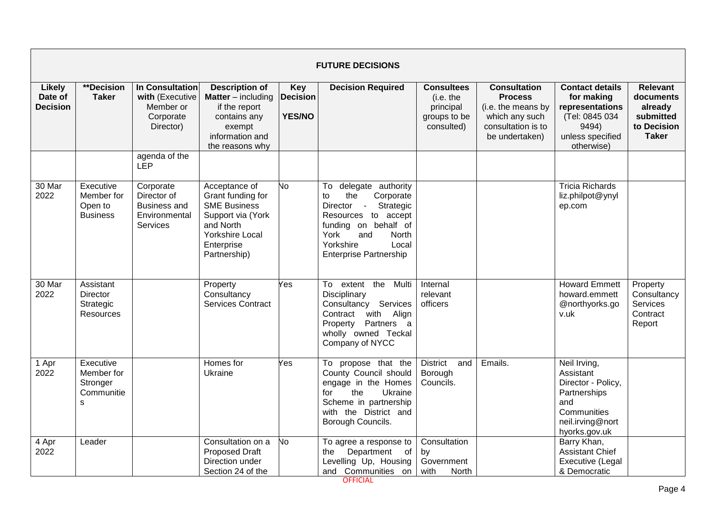|                                             | <b>FUTURE DECISIONS</b>                                       |                                                                                  |                                                                                                                                                     |                                         |                                                                                                                                                                                                                                 |                                                                           |                                                                                                                       |                                                                                                                            |                                                                                     |  |  |  |
|---------------------------------------------|---------------------------------------------------------------|----------------------------------------------------------------------------------|-----------------------------------------------------------------------------------------------------------------------------------------------------|-----------------------------------------|---------------------------------------------------------------------------------------------------------------------------------------------------------------------------------------------------------------------------------|---------------------------------------------------------------------------|-----------------------------------------------------------------------------------------------------------------------|----------------------------------------------------------------------------------------------------------------------------|-------------------------------------------------------------------------------------|--|--|--|
| <b>Likely</b><br>Date of<br><b>Decision</b> | <b>**Decision</b><br><b>Taker</b>                             | <b>In Consultation</b><br>with (Executive<br>Member or<br>Corporate<br>Director) | <b>Description of</b><br><b>Matter</b> – including<br>if the report<br>contains any<br>exempt<br>information and<br>the reasons why                 | Key<br><b>Decision</b><br><b>YES/NO</b> | <b>Decision Required</b>                                                                                                                                                                                                        | <b>Consultees</b><br>(i.e. the<br>principal<br>groups to be<br>consulted) | <b>Consultation</b><br><b>Process</b><br>(i.e. the means by<br>which any such<br>consultation is to<br>be undertaken) | <b>Contact details</b><br>for making<br>representations<br>(Tel: 0845 034<br>9494)<br>unless specified<br>otherwise)       | <b>Relevant</b><br>documents<br>already<br>submitted<br>to Decision<br><b>Taker</b> |  |  |  |
|                                             |                                                               | agenda of the<br>LEP                                                             |                                                                                                                                                     |                                         |                                                                                                                                                                                                                                 |                                                                           |                                                                                                                       |                                                                                                                            |                                                                                     |  |  |  |
| 30 Mar<br>2022                              | Executive<br>Member for<br>Open to<br><b>Business</b>         | Corporate<br>Director of<br><b>Business and</b><br>Environmental<br>Services     | Acceptance of<br>Grant funding for<br><b>SME Business</b><br>Support via (York<br>and North<br><b>Yorkshire Local</b><br>Enterprise<br>Partnership) | No                                      | To delegate authority<br>the<br>Corporate<br>to<br>Director<br>$\sim 10^{-1}$<br>Strategic<br>Resources to accept<br>funding on behalf of<br>York<br><b>North</b><br>and<br>Yorkshire<br>Local<br><b>Enterprise Partnership</b> |                                                                           |                                                                                                                       | <b>Tricia Richards</b><br>liz.philpot@ynyl<br>ep.com                                                                       |                                                                                     |  |  |  |
| 30 Mar<br>2022                              | Assistant<br><b>Director</b><br>Strategic<br><b>Resources</b> |                                                                                  | Property<br>Consultancy<br>Services Contract                                                                                                        | Yes                                     | To extent the Multi<br>Disciplinary<br>Consultancy Services<br>with Align<br>Contract<br>Property Partners a<br>wholly owned Teckal<br>Company of NYCC                                                                          | Internal<br>relevant<br>officers                                          |                                                                                                                       | <b>Howard Emmett</b><br>howard.emmett<br>@northyorks.go<br>v.uk                                                            | Property<br>Consultancy<br><b>Services</b><br>Contract<br>Report                    |  |  |  |
| 1 Apr<br>2022                               | Executive<br>Member for<br>Stronger<br>Communitie<br>s        |                                                                                  | Homes for<br>Ukraine                                                                                                                                | Yes                                     | To propose that the<br>County Council should<br>engage in the Homes<br>the<br>Ukraine<br>for<br>Scheme in partnership<br>with the District and<br>Borough Councils.                                                             | <b>District</b><br>and<br>Borough<br>Councils.                            | Emails.                                                                                                               | Neil Irving,<br>Assistant<br>Director - Policy,<br>Partnerships<br>and<br>Communities<br>neil.irving@nort<br>hyorks.gov.uk |                                                                                     |  |  |  |
| 4 Apr<br>2022                               | Leader                                                        |                                                                                  | Consultation on a<br><b>Proposed Draft</b><br>Direction under<br>Section 24 of the                                                                  | No                                      | To agree a response to<br>Department of<br>the<br>Levelling Up, Housing<br>and Communities on                                                                                                                                   | Consultation<br>by<br>Government<br>with<br><b>North</b>                  |                                                                                                                       | Barry Khan,<br><b>Assistant Chief</b><br>Executive (Legal<br>& Democratic                                                  |                                                                                     |  |  |  |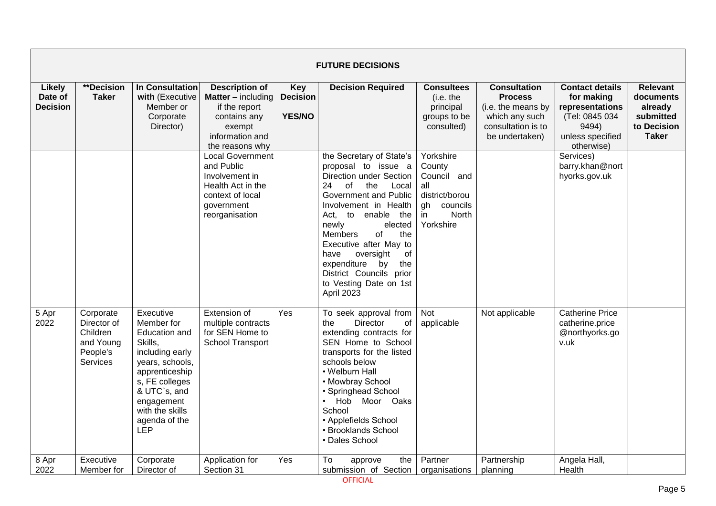|                                             | <b>FUTURE DECISIONS</b>                                                   |                                                                                                                                                                                                        |                                                                                                                                     |                                                |                                                                                                                                                                                                                                                                                                                                                                                      |                                                                                                           |                                                                                                                       |                                                                                                                      |                                                                                     |  |  |  |
|---------------------------------------------|---------------------------------------------------------------------------|--------------------------------------------------------------------------------------------------------------------------------------------------------------------------------------------------------|-------------------------------------------------------------------------------------------------------------------------------------|------------------------------------------------|--------------------------------------------------------------------------------------------------------------------------------------------------------------------------------------------------------------------------------------------------------------------------------------------------------------------------------------------------------------------------------------|-----------------------------------------------------------------------------------------------------------|-----------------------------------------------------------------------------------------------------------------------|----------------------------------------------------------------------------------------------------------------------|-------------------------------------------------------------------------------------|--|--|--|
| <b>Likely</b><br>Date of<br><b>Decision</b> | **Decision<br><b>Taker</b>                                                | In Consultation<br>with (Executive<br>Member or<br>Corporate<br>Director)                                                                                                                              | <b>Description of</b><br><b>Matter</b> – including<br>if the report<br>contains any<br>exempt<br>information and<br>the reasons why | <b>Key</b><br><b>Decision</b><br><b>YES/NO</b> | <b>Decision Required</b>                                                                                                                                                                                                                                                                                                                                                             | <b>Consultees</b><br>(i.e. the<br>principal<br>groups to be<br>consulted)                                 | <b>Consultation</b><br><b>Process</b><br>(i.e. the means by<br>which any such<br>consultation is to<br>be undertaken) | <b>Contact details</b><br>for making<br>representations<br>(Tel: 0845 034<br>9494)<br>unless specified<br>otherwise) | <b>Relevant</b><br>documents<br>already<br>submitted<br>to Decision<br><b>Taker</b> |  |  |  |
|                                             |                                                                           |                                                                                                                                                                                                        | <b>Local Government</b><br>and Public<br>Involvement in<br>Health Act in the<br>context of local<br>government<br>reorganisation    |                                                | the Secretary of State's<br>proposal to issue a<br>Direction under Section<br>24<br>of<br>the<br>Local<br>Government and Public<br>Involvement in Health<br>enable the<br>Act,<br>to<br>newly<br>elected<br>of<br>the<br>Members<br>Executive after May to<br>have<br>oversight<br>of<br>expenditure<br>the<br>by<br>District Councils prior<br>to Vesting Date on 1st<br>April 2023 | Yorkshire<br>County<br>Council and<br>all<br>district/borou<br>councils<br>gh<br>North<br>in<br>Yorkshire |                                                                                                                       | Services)<br>barry.khan@nort<br>hyorks.gov.uk                                                                        |                                                                                     |  |  |  |
| 5 Apr<br>2022                               | Corporate<br>Director of<br>Children<br>and Young<br>People's<br>Services | Executive<br>Member for<br>Education and<br>Skills,<br>including early<br>years, schools,<br>apprenticeship<br>s, FE colleges<br>& UTC`s, and<br>engagement<br>with the skills<br>agenda of the<br>LEP | Extension of<br>multiple contracts<br>for SEN Home to<br>School Transport                                                           | Yes                                            | To seek approval from<br><b>Director</b><br>οf<br>the<br>extending contracts for<br>SEN Home to School<br>transports for the listed<br>schools below<br>• Welburn Hall<br>• Mowbray School<br>• Springhead School<br>. Hob Moor Oaks<br>School<br>• Applefields School<br>• Brooklands School<br>• Dales School                                                                      | Not<br>applicable                                                                                         | Not applicable                                                                                                        | <b>Catherine Price</b><br>catherine.price<br>@northyorks.go<br>v.uk                                                  |                                                                                     |  |  |  |
| 8 Apr<br>2022                               | Executive<br>Member for                                                   | Corporate<br>Director of                                                                                                                                                                               | Application for<br>Section 31                                                                                                       | Yes                                            | To<br>the<br>approve<br>submission of Section                                                                                                                                                                                                                                                                                                                                        | Partner<br>organisations                                                                                  | Partnership<br>planning                                                                                               | Angela Hall,<br>Health                                                                                               |                                                                                     |  |  |  |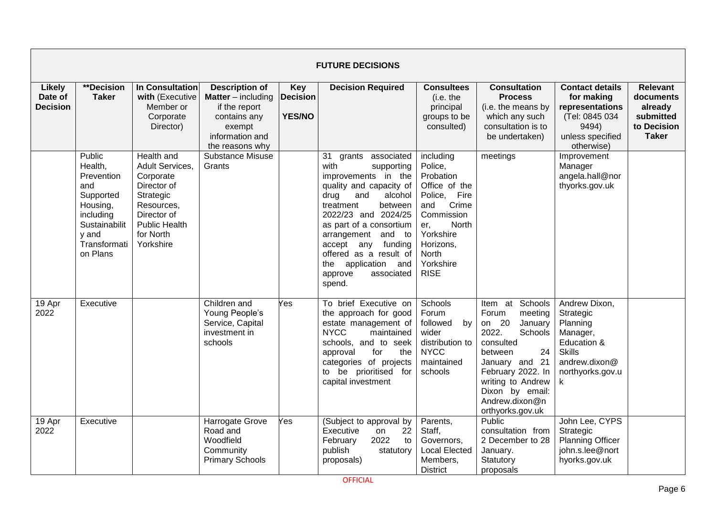|                                      | <b>FUTURE DECISIONS</b>                                                                                                            |                                                                                                                                                              |                                                                                                                                     |                                                |                                                                                                                                                                                                                                                                                                                                     |                                                                                                                                                                                    |                                                                                                                                                                                                                                      |                                                                                                                              |                                                                                     |  |  |
|--------------------------------------|------------------------------------------------------------------------------------------------------------------------------------|--------------------------------------------------------------------------------------------------------------------------------------------------------------|-------------------------------------------------------------------------------------------------------------------------------------|------------------------------------------------|-------------------------------------------------------------------------------------------------------------------------------------------------------------------------------------------------------------------------------------------------------------------------------------------------------------------------------------|------------------------------------------------------------------------------------------------------------------------------------------------------------------------------------|--------------------------------------------------------------------------------------------------------------------------------------------------------------------------------------------------------------------------------------|------------------------------------------------------------------------------------------------------------------------------|-------------------------------------------------------------------------------------|--|--|
| Likely<br>Date of<br><b>Decision</b> | **Decision<br><b>Taker</b>                                                                                                         | In Consultation<br>with (Executive<br>Member or<br>Corporate<br>Director)                                                                                    | <b>Description of</b><br><b>Matter</b> – including<br>if the report<br>contains any<br>exempt<br>information and<br>the reasons why | <b>Key</b><br><b>Decision</b><br><b>YES/NO</b> | <b>Decision Required</b>                                                                                                                                                                                                                                                                                                            | <b>Consultees</b><br>(i.e. the<br>principal<br>groups to be<br>consulted)                                                                                                          | <b>Consultation</b><br><b>Process</b><br>(i.e. the means by<br>which any such<br>consultation is to<br>be undertaken)                                                                                                                | <b>Contact details</b><br>for making<br>representations<br>(Tel: 0845 034<br>9494)<br>unless specified<br>otherwise)         | <b>Relevant</b><br>documents<br>already<br>submitted<br>to Decision<br><b>Taker</b> |  |  |
|                                      | Public<br>Health,<br>Prevention<br>and<br>Supported<br>Housing,<br>including<br>Sustainabilit<br>y and<br>Transformati<br>on Plans | <b>Health and</b><br>Adult Services,<br>Corporate<br>Director of<br>Strategic<br>Resources.<br>Director of<br><b>Public Health</b><br>for North<br>Yorkshire | <b>Substance Misuse</b><br>Grants                                                                                                   |                                                | 31 grants associated<br>with<br>supporting<br>improvements in the<br>quality and capacity of<br>drug<br>and<br>alcohol<br>between<br>treatment<br>2022/23 and 2024/25<br>as part of a consortium<br>arrangement and to<br>accept any<br>funding<br>offered as a result of<br>the application and<br>associated<br>approve<br>spend. | including<br>Police,<br>Probation<br>Office of the<br>Fire<br>Police,<br>Crime<br>and<br>Commission<br>North<br>er.<br>Yorkshire<br>Horizons,<br>North<br>Yorkshire<br><b>RISE</b> | meetings                                                                                                                                                                                                                             | Improvement<br>Manager<br>angela.hall@nor<br>thyorks.gov.uk                                                                  |                                                                                     |  |  |
| 19 Apr<br>2022                       | Executive                                                                                                                          |                                                                                                                                                              | Children and<br>Young People's<br>Service, Capital<br>investment in<br>schools                                                      | Yes                                            | To brief Executive on<br>the approach for good<br>estate management of<br><b>NYCC</b><br>maintained<br>schools, and to seek<br>for<br>approval<br>the<br>categories of projects<br>to be prioritised for<br>capital investment                                                                                                      | Schools<br>Forum<br>followed<br>by<br>wider<br>distribution to<br><b>NYCC</b><br>maintained<br>schools                                                                             | Schools<br>at<br>Item<br>Forum<br>meeting<br>on 20<br>January<br>2022.<br>Schools<br>consulted<br>24<br>between<br>January and 21<br>February 2022. In<br>writing to Andrew<br>Dixon by email:<br>Andrew.dixon@n<br>orthyorks.gov.uk | Andrew Dixon,<br>Strategic<br>Planning<br>Manager,<br>Education &<br><b>Skills</b><br>andrew.dixon@<br>northyorks.gov.u<br>k |                                                                                     |  |  |
| 19 Apr<br>2022                       | Executive                                                                                                                          |                                                                                                                                                              | Harrogate Grove<br>Road and<br>Woodfield<br>Community<br><b>Primary Schools</b>                                                     | Yes                                            | (Subject to approval by<br>Executive<br>22<br>on<br>2022<br>February<br>to<br>publish<br>statutory<br>proposals)                                                                                                                                                                                                                    | Parents,<br>Staff,<br>Governors.<br><b>Local Elected</b><br>Members,<br><b>District</b>                                                                                            | <b>Public</b><br>consultation from<br>2 December to 28<br>January.<br>Statutory<br>proposals                                                                                                                                         | John Lee, CYPS<br>Strategic<br><b>Planning Officer</b><br>john.s.lee@nort<br>hyorks.gov.uk                                   |                                                                                     |  |  |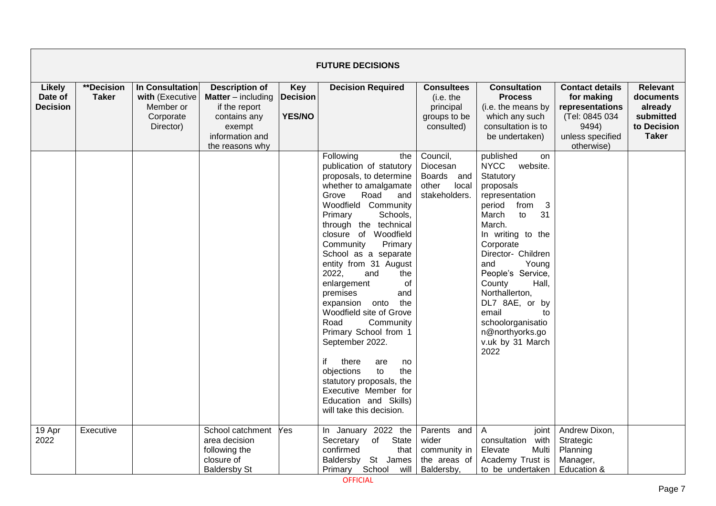|                                             | <b>FUTURE DECISIONS</b>    |                                                                           |                                                                                                                                       |                                                |                                                                                                                                                                                                                                                                                                                                                                                                                                                                                                                                                                                                                                                      |                                                                           |                                                                                                                                                                                                                                                                                                                                                                                     |                                                                                                                      |                                                                                     |  |  |  |
|---------------------------------------------|----------------------------|---------------------------------------------------------------------------|---------------------------------------------------------------------------------------------------------------------------------------|------------------------------------------------|------------------------------------------------------------------------------------------------------------------------------------------------------------------------------------------------------------------------------------------------------------------------------------------------------------------------------------------------------------------------------------------------------------------------------------------------------------------------------------------------------------------------------------------------------------------------------------------------------------------------------------------------------|---------------------------------------------------------------------------|-------------------------------------------------------------------------------------------------------------------------------------------------------------------------------------------------------------------------------------------------------------------------------------------------------------------------------------------------------------------------------------|----------------------------------------------------------------------------------------------------------------------|-------------------------------------------------------------------------------------|--|--|--|
| <b>Likely</b><br>Date of<br><b>Decision</b> | **Decision<br><b>Taker</b> | In Consultation<br>with (Executive<br>Member or<br>Corporate<br>Director) | <b>Description of</b><br><b>Matter</b> $-$ including<br>if the report<br>contains any<br>exempt<br>information and<br>the reasons why | <b>Key</b><br><b>Decision</b><br><b>YES/NO</b> | <b>Decision Required</b>                                                                                                                                                                                                                                                                                                                                                                                                                                                                                                                                                                                                                             | <b>Consultees</b><br>(i.e. the<br>principal<br>groups to be<br>consulted) | <b>Consultation</b><br><b>Process</b><br>(i.e. the means by<br>which any such<br>consultation is to<br>be undertaken)                                                                                                                                                                                                                                                               | <b>Contact details</b><br>for making<br>representations<br>(Tel: 0845 034<br>9494)<br>unless specified<br>otherwise) | <b>Relevant</b><br>documents<br>already<br>submitted<br>to Decision<br><b>Taker</b> |  |  |  |
|                                             |                            |                                                                           |                                                                                                                                       |                                                | Following<br>the<br>publication of statutory<br>proposals, to determine<br>whether to amalgamate<br>Road<br>Grove<br>and<br>Woodfield Community<br>Schools,<br>Primary<br>through the technical<br>closure of Woodfield<br>Primary<br>Community<br>School as a separate<br>entity from 31 August<br>2022,<br>and<br>the<br>enlargement<br>of<br>premises<br>and<br>the<br>expansion onto<br>Woodfield site of Grove<br>Road<br>Community<br>Primary School from 1<br>September 2022.<br>if<br>there<br>are<br>no<br>objections<br>to<br>the<br>statutory proposals, the<br>Executive Member for<br>Education and Skills)<br>will take this decision. | Council,<br>Diocesan<br>Boards and<br>other<br>local<br>stakeholders.     | published<br>on<br><b>NYCC</b><br>website.<br>Statutory<br>proposals<br>representation<br>from<br>3<br>period<br>31<br>March<br>to<br>March.<br>In writing to the<br>Corporate<br>Director- Children<br>and<br>Young<br>People's Service,<br>County<br>Hall,<br>Northallerton,<br>DL7 8AE, or by<br>email<br>to<br>schoolorganisatio<br>n@northyorks.go<br>v.uk by 31 March<br>2022 |                                                                                                                      |                                                                                     |  |  |  |
| 19 Apr<br>2022                              | Executive                  |                                                                           | School catchment<br>area decision<br>following the<br>closure of<br><b>Baldersby St</b>                                               | Yes                                            | In January 2022 the<br>of State<br>Secretary<br>confirmed<br>that<br>Baldersby St James<br>Primary School<br>will                                                                                                                                                                                                                                                                                                                                                                                                                                                                                                                                    | Parents and<br>wider<br>community in<br>the areas of<br>Baldersby,        | $\mathsf{A}$<br>joint<br>consultation with<br>Elevate<br>Multi<br>Academy Trust is<br>to be undertaken                                                                                                                                                                                                                                                                              | Andrew Dixon,<br>Strategic<br>Planning<br>Manager,<br>Education &                                                    |                                                                                     |  |  |  |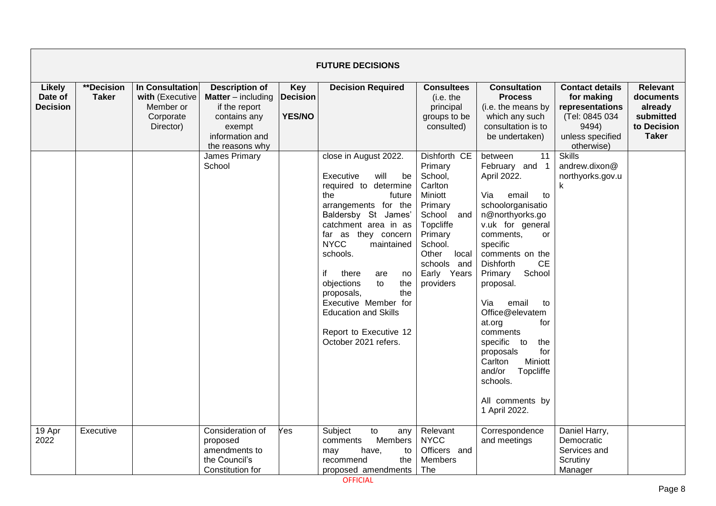|                                             | <b>FUTURE DECISIONS</b>    |                                                                           |                                                                                                                                       |                                                |                                                                                                                                                                                                                                                                                                                                                                                                                        |                                                                                                                                                                                      |                                                                                                                                                                                                                                                                                                                                                                                                                                                                               |                                                                                                                      |                                                                                     |  |  |  |
|---------------------------------------------|----------------------------|---------------------------------------------------------------------------|---------------------------------------------------------------------------------------------------------------------------------------|------------------------------------------------|------------------------------------------------------------------------------------------------------------------------------------------------------------------------------------------------------------------------------------------------------------------------------------------------------------------------------------------------------------------------------------------------------------------------|--------------------------------------------------------------------------------------------------------------------------------------------------------------------------------------|-------------------------------------------------------------------------------------------------------------------------------------------------------------------------------------------------------------------------------------------------------------------------------------------------------------------------------------------------------------------------------------------------------------------------------------------------------------------------------|----------------------------------------------------------------------------------------------------------------------|-------------------------------------------------------------------------------------|--|--|--|
| <b>Likely</b><br>Date of<br><b>Decision</b> | **Decision<br><b>Taker</b> | In Consultation<br>with (Executive<br>Member or<br>Corporate<br>Director) | <b>Description of</b><br><b>Matter</b> $-$ including<br>if the report<br>contains any<br>exempt<br>information and<br>the reasons why | <b>Key</b><br><b>Decision</b><br><b>YES/NO</b> | <b>Decision Required</b>                                                                                                                                                                                                                                                                                                                                                                                               | <b>Consultees</b><br>(i.e. the<br>principal<br>groups to be<br>consulted)                                                                                                            | <b>Consultation</b><br><b>Process</b><br>(i.e. the means by<br>which any such<br>consultation is to<br>be undertaken)                                                                                                                                                                                                                                                                                                                                                         | <b>Contact details</b><br>for making<br>representations<br>(Tel: 0845 034<br>9494)<br>unless specified<br>otherwise) | <b>Relevant</b><br>documents<br>already<br>submitted<br>to Decision<br><b>Taker</b> |  |  |  |
|                                             |                            |                                                                           | James Primary<br>School                                                                                                               |                                                | close in August 2022.<br>Executive<br>will<br>be<br>required to determine<br>the<br>future<br>arrangements for the<br>Baldersby St James'<br>catchment area in as<br>far as they concern<br><b>NYCC</b><br>maintained<br>schools.<br>if<br>there<br>are<br>no<br>objections<br>to<br>the<br>the<br>proposals,<br>Executive Member for<br><b>Education and Skills</b><br>Report to Executive 12<br>October 2021 refers. | Dishforth CE<br>Primary<br>School,<br>Carlton<br>Miniott<br>Primary<br>School<br>and<br>Topcliffe<br>Primary<br>School.<br>Other<br>local<br>schools and<br>Early Years<br>providers | 11<br>between<br>February and 1<br>April 2022.<br>Via<br>email<br>to<br>schoolorganisatio<br>n@northyorks.go<br>v.uk for general<br>comments,<br><sub>or</sub><br>specific<br>comments on the<br><b>CE</b><br><b>Dishforth</b><br>School<br>Primary<br>proposal.<br>Via<br>email<br>to<br>Office@elevatem<br>for<br>at.org<br>comments<br>specific to<br>the<br>proposals<br>for<br>Carlton<br>Miniott<br>and/or<br>Topcliffe<br>schools.<br>All comments by<br>1 April 2022. | <b>Skills</b><br>andrew.dixon@<br>northyorks.gov.u<br>k                                                              |                                                                                     |  |  |  |
| 19 Apr<br>2022                              | Executive                  |                                                                           | Consideration of<br>proposed<br>amendments to<br>the Council's<br>Constitution for                                                    | Yes                                            | Subject<br>to<br>any<br>Members<br>comments<br>may<br>have,<br>to<br>the<br>recommend<br>proposed amendments                                                                                                                                                                                                                                                                                                           | Relevant<br><b>NYCC</b><br>Officers and<br><b>Members</b><br>The                                                                                                                     | Correspondence<br>and meetings                                                                                                                                                                                                                                                                                                                                                                                                                                                | Daniel Harry,<br>Democratic<br>Services and<br>Scrutiny<br>Manager                                                   |                                                                                     |  |  |  |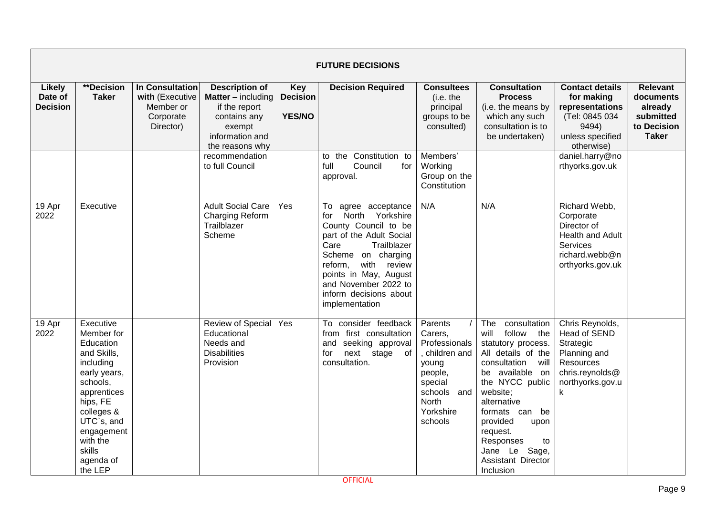|                                             | <b>FUTURE DECISIONS</b>                                                                                                                                                                                         |                                                                           |                                                                                                                                     |                                         |                                                                                                                                                                                                                                                                          |                                                                                                                                      |                                                                                                                                                                                                                                                                                                            |                                                                                                                       |                                                                                     |  |  |  |
|---------------------------------------------|-----------------------------------------------------------------------------------------------------------------------------------------------------------------------------------------------------------------|---------------------------------------------------------------------------|-------------------------------------------------------------------------------------------------------------------------------------|-----------------------------------------|--------------------------------------------------------------------------------------------------------------------------------------------------------------------------------------------------------------------------------------------------------------------------|--------------------------------------------------------------------------------------------------------------------------------------|------------------------------------------------------------------------------------------------------------------------------------------------------------------------------------------------------------------------------------------------------------------------------------------------------------|-----------------------------------------------------------------------------------------------------------------------|-------------------------------------------------------------------------------------|--|--|--|
| <b>Likely</b><br>Date of<br><b>Decision</b> | **Decision<br><b>Taker</b>                                                                                                                                                                                      | In Consultation<br>with (Executive<br>Member or<br>Corporate<br>Director) | <b>Description of</b><br><b>Matter</b> – including<br>if the report<br>contains any<br>exempt<br>information and<br>the reasons why | Key<br><b>Decision</b><br><b>YES/NO</b> | <b>Decision Required</b>                                                                                                                                                                                                                                                 | <b>Consultees</b><br>(i.e. the<br>principal<br>groups to be<br>consulted)                                                            | <b>Consultation</b><br><b>Process</b><br>(i.e. the means by<br>which any such<br>consultation is to<br>be undertaken)                                                                                                                                                                                      | <b>Contact details</b><br>for making<br>representations<br>(Tel: 0845 034<br>9494)<br>unless specified<br>otherwise)  | <b>Relevant</b><br>documents<br>already<br>submitted<br>to Decision<br><b>Taker</b> |  |  |  |
|                                             |                                                                                                                                                                                                                 |                                                                           | recommendation<br>to full Council                                                                                                   |                                         | to the Constitution to<br>full<br>Council<br>for<br>approval.                                                                                                                                                                                                            | Members'<br>Working<br>Group on the<br>Constitution                                                                                  |                                                                                                                                                                                                                                                                                                            | daniel.harry@no<br>rthyorks.gov.uk                                                                                    |                                                                                     |  |  |  |
| 19 Apr<br>2022                              | Executive                                                                                                                                                                                                       |                                                                           | <b>Adult Social Care</b><br><b>Charging Reform</b><br>Trailblazer<br>Scheme                                                         | Yes                                     | To agree acceptance<br>North Yorkshire<br>for<br>County Council to be<br>part of the Adult Social<br>Care<br>Trailblazer<br>Scheme on charging<br>with<br>reform,<br>review<br>points in May, August<br>and November 2022 to<br>inform decisions about<br>implementation | N/A                                                                                                                                  | N/A                                                                                                                                                                                                                                                                                                        | Richard Webb,<br>Corporate<br>Director of<br>Health and Adult<br>Services<br>richard.webb@n<br>orthyorks.gov.uk       |                                                                                     |  |  |  |
| 19 Apr<br>2022                              | Executive<br>Member for<br>Education<br>and Skills,<br>including<br>early years,<br>schools,<br>apprentices<br>hips, FE<br>colleges &<br>UTC`s, and<br>engagement<br>with the<br>skills<br>agenda of<br>the LEP |                                                                           | <b>Review of Special</b><br>Educational<br>Needs and<br><b>Disabilities</b><br>Provision                                            | Yes                                     | To consider feedback<br>from first consultation<br>and seeking approval<br>next stage of<br>for<br>consultation.                                                                                                                                                         | Parents<br>Carers,<br>Professionals<br>, children and<br>young<br>people,<br>special<br>schools and<br>North<br>Yorkshire<br>schools | consultation<br>The<br>follow the<br>will<br>statutory process.<br>All details of the<br>consultation<br>will<br>be available on<br>the NYCC public<br>website;<br>alternative<br>formats can be<br>provided<br>upon<br>request.<br>Responses<br>to<br>Sage,<br>Jane Le<br>Assistant Director<br>Inclusion | Chris Reynolds,<br>Head of SEND<br>Strategic<br>Planning and<br>Resources<br>chris.reynolds@<br>northyorks.gov.u<br>k |                                                                                     |  |  |  |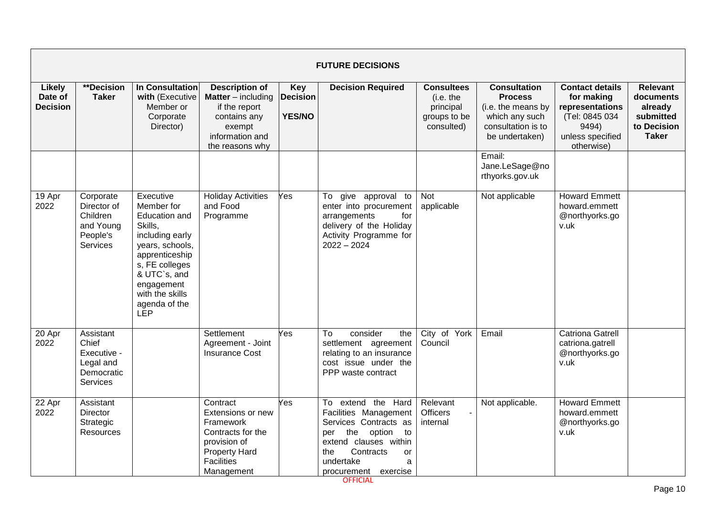|                                             | <b>FUTURE DECISIONS</b>                                                   |                                                                                                                                                                                                                      |                                                                                                                                            |                                                |                                                                                                                                                                                                 |                                                                           |                                                                                                                       |                                                                                                                      |                                                                                     |  |  |  |
|---------------------------------------------|---------------------------------------------------------------------------|----------------------------------------------------------------------------------------------------------------------------------------------------------------------------------------------------------------------|--------------------------------------------------------------------------------------------------------------------------------------------|------------------------------------------------|-------------------------------------------------------------------------------------------------------------------------------------------------------------------------------------------------|---------------------------------------------------------------------------|-----------------------------------------------------------------------------------------------------------------------|----------------------------------------------------------------------------------------------------------------------|-------------------------------------------------------------------------------------|--|--|--|
| <b>Likely</b><br>Date of<br><b>Decision</b> | **Decision<br><b>Taker</b>                                                | <b>In Consultation</b><br>with (Executive<br>Member or<br>Corporate<br>Director)                                                                                                                                     | <b>Description of</b><br><b>Matter</b> – including<br>if the report<br>contains any<br>exempt<br>information and<br>the reasons why        | <b>Key</b><br><b>Decision</b><br><b>YES/NO</b> | <b>Decision Required</b>                                                                                                                                                                        | <b>Consultees</b><br>(i.e. the<br>principal<br>groups to be<br>consulted) | <b>Consultation</b><br><b>Process</b><br>(i.e. the means by<br>which any such<br>consultation is to<br>be undertaken) | <b>Contact details</b><br>for making<br>representations<br>(Tel: 0845 034<br>9494)<br>unless specified<br>otherwise) | <b>Relevant</b><br>documents<br>already<br>submitted<br>to Decision<br><b>Taker</b> |  |  |  |
|                                             |                                                                           |                                                                                                                                                                                                                      |                                                                                                                                            |                                                |                                                                                                                                                                                                 |                                                                           | Email:<br>Jane.LeSage@no<br>rthyorks.gov.uk                                                                           |                                                                                                                      |                                                                                     |  |  |  |
| 19 Apr<br>2022                              | Corporate<br>Director of<br>Children<br>and Young<br>People's<br>Services | Executive<br>Member for<br><b>Education and</b><br>Skills,<br>including early<br>years, schools,<br>apprenticeship<br>s, FE colleges<br>& UTC`s, and<br>engagement<br>with the skills<br>agenda of the<br><b>LEP</b> | <b>Holiday Activities</b><br>and Food<br>Programme                                                                                         | Yes                                            | give approval to<br>To<br>enter into procurement<br>arrangements<br>for<br>delivery of the Holiday<br>Activity Programme for<br>$2022 - 2024$                                                   | Not<br>applicable                                                         | Not applicable                                                                                                        | <b>Howard Emmett</b><br>howard.emmett<br>@northyorks.go<br>v.uk                                                      |                                                                                     |  |  |  |
| 20 Apr<br>2022                              | Assistant<br>Chief<br>Executive -<br>Legal and<br>Democratic<br>Services  |                                                                                                                                                                                                                      | Settlement<br>Agreement - Joint<br><b>Insurance Cost</b>                                                                                   | Yes                                            | consider<br>To<br>the<br>settlement agreement<br>relating to an insurance<br>cost issue under the<br>PPP waste contract                                                                         | City of York<br>Council                                                   | Email                                                                                                                 | <b>Catriona Gatrell</b><br>catriona.gatrell<br>@northyorks.go<br>v.uk                                                |                                                                                     |  |  |  |
| 22 Apr<br>2022                              | Assistant<br><b>Director</b><br>Strategic<br><b>Resources</b>             |                                                                                                                                                                                                                      | Contract<br>Extensions or new<br>Framework<br>Contracts for the<br>provision of<br><b>Property Hard</b><br><b>Facilities</b><br>Management | Yes                                            | To extend the Hard<br>Facilities Management<br>Services Contracts as<br>the<br>option<br>to<br>per<br>extend clauses within<br>Contracts<br>the<br>or<br>undertake<br>a<br>procurement exercise | Relevant<br><b>Officers</b><br>internal                                   | Not applicable.                                                                                                       | <b>Howard Emmett</b><br>howard.emmett<br>@northyorks.go<br>v.uk                                                      |                                                                                     |  |  |  |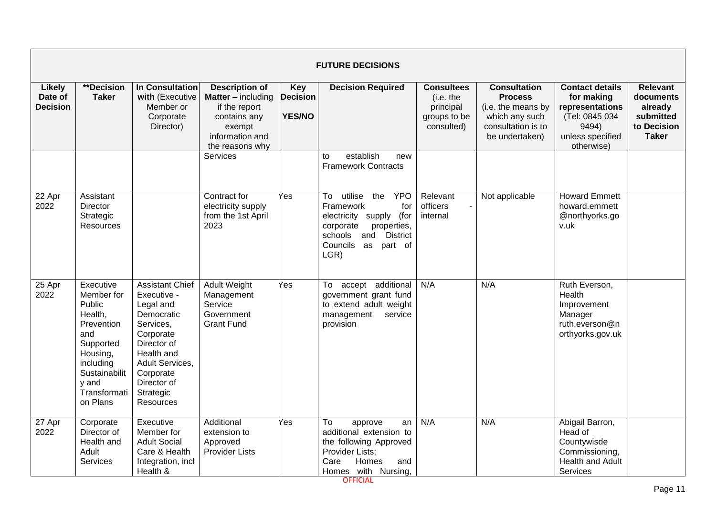|                                             | <b>FUTURE DECISIONS</b>                                                                                                                                       |                                                                                                                                                                                                  |                                                                                                                                     |                                                |                                                                                                                                                                                         |                                                                           |                                                                                                                       |                                                                                                                      |                                                                                     |  |  |  |
|---------------------------------------------|---------------------------------------------------------------------------------------------------------------------------------------------------------------|--------------------------------------------------------------------------------------------------------------------------------------------------------------------------------------------------|-------------------------------------------------------------------------------------------------------------------------------------|------------------------------------------------|-----------------------------------------------------------------------------------------------------------------------------------------------------------------------------------------|---------------------------------------------------------------------------|-----------------------------------------------------------------------------------------------------------------------|----------------------------------------------------------------------------------------------------------------------|-------------------------------------------------------------------------------------|--|--|--|
| <b>Likely</b><br>Date of<br><b>Decision</b> | <b>**Decision</b><br><b>Taker</b>                                                                                                                             | <b>In Consultation</b><br>with (Executive<br>Member or<br>Corporate<br>Director)                                                                                                                 | <b>Description of</b><br><b>Matter</b> – including<br>if the report<br>contains any<br>exempt<br>information and<br>the reasons why | <b>Key</b><br><b>Decision</b><br><b>YES/NO</b> | <b>Decision Required</b>                                                                                                                                                                | <b>Consultees</b><br>(i.e. the<br>principal<br>groups to be<br>consulted) | <b>Consultation</b><br><b>Process</b><br>(i.e. the means by<br>which any such<br>consultation is to<br>be undertaken) | <b>Contact details</b><br>for making<br>representations<br>(Tel: 0845 034<br>9494)<br>unless specified<br>otherwise) | <b>Relevant</b><br>documents<br>already<br>submitted<br>to Decision<br><b>Taker</b> |  |  |  |
|                                             |                                                                                                                                                               |                                                                                                                                                                                                  | Services                                                                                                                            |                                                | establish<br>to<br>new<br><b>Framework Contracts</b>                                                                                                                                    |                                                                           |                                                                                                                       |                                                                                                                      |                                                                                     |  |  |  |
| 22 Apr<br>2022                              | Assistant<br><b>Director</b><br>Strategic<br>Resources                                                                                                        |                                                                                                                                                                                                  | Contract for<br>electricity supply<br>from the 1st April<br>2023                                                                    | Yes                                            | utilise<br>the<br><b>YPO</b><br>To<br>Framework<br>for<br>electricity supply<br>(for<br>corporate<br>properties,<br><b>District</b><br>schools<br>and<br>Councils as<br>part of<br>LGR) | Relevant<br>officers<br>internal                                          | Not applicable                                                                                                        | <b>Howard Emmett</b><br>howard.emmett<br>@northyorks.go<br>v.uk                                                      |                                                                                     |  |  |  |
| 25 Apr<br>2022                              | Executive<br>Member for<br>Public<br>Health,<br>Prevention<br>and<br>Supported<br>Housing,<br>including<br>Sustainabilit<br>y and<br>Transformati<br>on Plans | <b>Assistant Chief</b><br>Executive -<br>Legal and<br>Democratic<br>Services,<br>Corporate<br>Director of<br>Health and<br>Adult Services,<br>Corporate<br>Director of<br>Strategic<br>Resources | Adult Weight<br>Management<br>Service<br>Government<br><b>Grant Fund</b>                                                            | Yes                                            | To accept additional<br>government grant fund<br>to extend adult weight<br>management<br>service<br>provision                                                                           | N/A                                                                       | N/A                                                                                                                   | Ruth Everson,<br>Health<br>Improvement<br>Manager<br>ruth.everson@n<br>orthyorks.gov.uk                              |                                                                                     |  |  |  |
| 27 Apr<br>2022                              | Corporate<br>Director of<br>Health and<br>Adult<br><b>Services</b>                                                                                            | Executive<br>Member for<br><b>Adult Social</b><br>Care & Health<br>Integration, incl<br>Health &                                                                                                 | Additional<br>extension to<br>Approved<br>Provider Lists                                                                            | Yes                                            | To<br>approve<br>an<br>additional extension to<br>the following Approved<br>Provider Lists;<br>Care<br>Homes<br>and<br>Homes with Nursing                                               | N/A                                                                       | N/A                                                                                                                   | Abigail Barron,<br>Head of<br>Countywisde<br>Commissioning,<br>Health and Adult<br>Services                          |                                                                                     |  |  |  |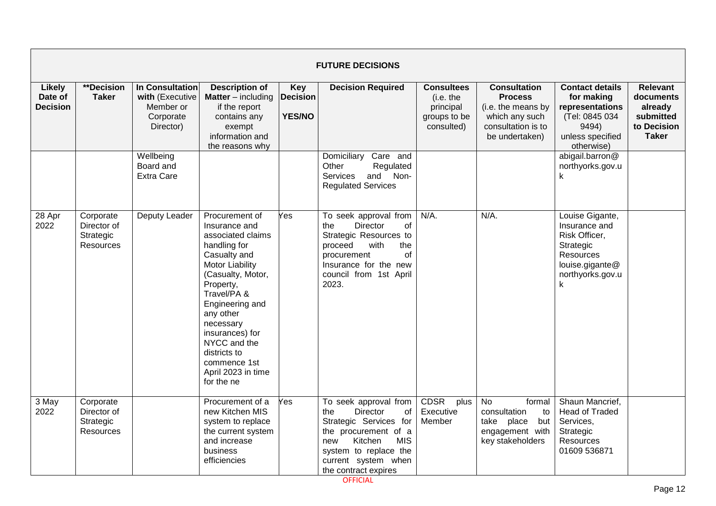|                                             | <b>FUTURE DECISIONS</b>                                   |                                                                           |                                                                                                                                                                                                                                                                                                                     |                                         |                                                                                                                                                                                                                 |                                                                           |                                                                                                                       |                                                                                                                                   |                                                                                     |  |  |  |
|---------------------------------------------|-----------------------------------------------------------|---------------------------------------------------------------------------|---------------------------------------------------------------------------------------------------------------------------------------------------------------------------------------------------------------------------------------------------------------------------------------------------------------------|-----------------------------------------|-----------------------------------------------------------------------------------------------------------------------------------------------------------------------------------------------------------------|---------------------------------------------------------------------------|-----------------------------------------------------------------------------------------------------------------------|-----------------------------------------------------------------------------------------------------------------------------------|-------------------------------------------------------------------------------------|--|--|--|
| <b>Likely</b><br>Date of<br><b>Decision</b> | **Decision<br><b>Taker</b>                                | In Consultation<br>with (Executive<br>Member or<br>Corporate<br>Director) | <b>Description of</b><br><b>Matter</b> – including<br>if the report<br>contains any<br>exempt<br>information and<br>the reasons why                                                                                                                                                                                 | Key<br><b>Decision</b><br><b>YES/NO</b> | <b>Decision Required</b>                                                                                                                                                                                        | <b>Consultees</b><br>(i.e. the<br>principal<br>groups to be<br>consulted) | <b>Consultation</b><br><b>Process</b><br>(i.e. the means by<br>which any such<br>consultation is to<br>be undertaken) | <b>Contact details</b><br>for making<br>representations<br>(Tel: 0845 034<br>9494)<br>unless specified<br>otherwise)              | <b>Relevant</b><br>documents<br>already<br>submitted<br>to Decision<br><b>Taker</b> |  |  |  |
|                                             |                                                           | Wellbeing<br>Board and<br><b>Extra Care</b>                               |                                                                                                                                                                                                                                                                                                                     |                                         | Care and<br>Domiciliary<br>Other<br>Regulated<br>and Non-<br>Services<br><b>Regulated Services</b>                                                                                                              |                                                                           |                                                                                                                       | abigail.barron@<br>northyorks.gov.u<br>k                                                                                          |                                                                                     |  |  |  |
| 28 Apr<br>2022                              | Corporate<br>Director of<br>Strategic<br><b>Resources</b> | Deputy Leader                                                             | Procurement of<br>Insurance and<br>associated claims<br>handling for<br>Casualty and<br><b>Motor Liability</b><br>(Casualty, Motor,<br>Property,<br>Travel/PA &<br>Engineering and<br>any other<br>necessary<br>insurances) for<br>NYCC and the<br>districts to<br>commence 1st<br>April 2023 in time<br>for the ne | Yes                                     | To seek approval from<br><b>Director</b><br>the<br>0f<br>Strategic Resources to<br>proceed<br>with<br>the<br>Ωf<br>procurement<br>Insurance for the new<br>council from 1st April<br>2023.                      | $N/A$ .                                                                   | N/A.                                                                                                                  | Louise Gigante,<br>Insurance and<br>Risk Officer,<br>Strategic<br>Resources<br>louise.gigante@<br>northyorks.gov.u<br>$\mathsf k$ |                                                                                     |  |  |  |
| 3 May<br>2022                               | Corporate<br>Director of<br>Strategic<br><b>Resources</b> |                                                                           | Procurement of a<br>new Kitchen MIS<br>system to replace<br>the current system<br>and increase<br>business<br>efficiencies                                                                                                                                                                                          | Yes                                     | To seek approval from<br>the<br><b>Director</b><br>of<br>Strategic Services for<br>the procurement of a<br><b>MIS</b><br>Kitchen<br>new<br>system to replace the<br>current system when<br>the contract expires | <b>CDSR</b><br>plus<br>Executive<br>Member                                | <b>No</b><br>formal<br>consultation<br>to<br>take<br>place<br>but<br>engagement with<br>key stakeholders              | Shaun Mancrief,<br><b>Head of Traded</b><br>Services,<br>Strategic<br>Resources<br>01609 536871                                   |                                                                                     |  |  |  |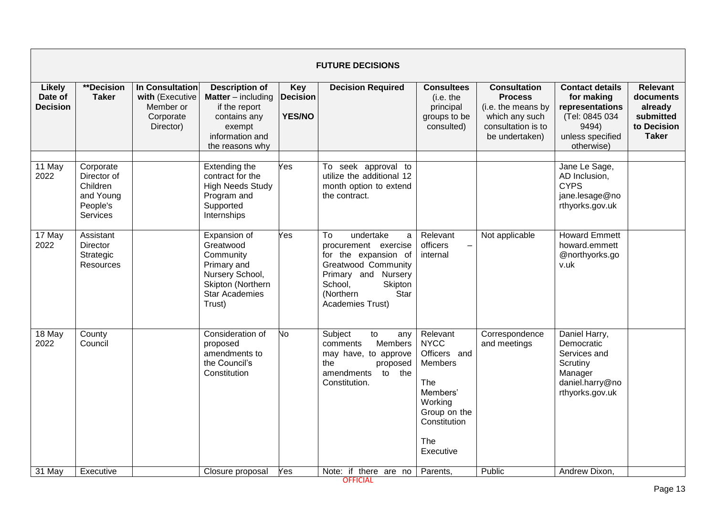|                                      |                                                                           |                                                                           |                                                                                                                                     |                                         | <b>FUTURE DECISIONS</b>                                                                                                                                                                             |                                                                                                                                      |                                                                                                                       |                                                                                                                      |                                                                                     |
|--------------------------------------|---------------------------------------------------------------------------|---------------------------------------------------------------------------|-------------------------------------------------------------------------------------------------------------------------------------|-----------------------------------------|-----------------------------------------------------------------------------------------------------------------------------------------------------------------------------------------------------|--------------------------------------------------------------------------------------------------------------------------------------|-----------------------------------------------------------------------------------------------------------------------|----------------------------------------------------------------------------------------------------------------------|-------------------------------------------------------------------------------------|
| Likely<br>Date of<br><b>Decision</b> | **Decision<br><b>Taker</b>                                                | In Consultation<br>with (Executive<br>Member or<br>Corporate<br>Director) | <b>Description of</b><br><b>Matter</b> – including<br>if the report<br>contains any<br>exempt<br>information and<br>the reasons why | Key<br><b>Decision</b><br><b>YES/NO</b> | <b>Decision Required</b>                                                                                                                                                                            | <b>Consultees</b><br>(i.e. the<br>principal<br>groups to be<br>consulted)                                                            | <b>Consultation</b><br><b>Process</b><br>(i.e. the means by<br>which any such<br>consultation is to<br>be undertaken) | <b>Contact details</b><br>for making<br>representations<br>(Tel: 0845 034<br>9494)<br>unless specified<br>otherwise) | <b>Relevant</b><br>documents<br>already<br>submitted<br>to Decision<br><b>Taker</b> |
| 11 May<br>2022                       | Corporate<br>Director of<br>Children<br>and Young<br>People's<br>Services |                                                                           | Extending the<br>contract for the<br><b>High Needs Study</b><br>Program and<br>Supported<br>Internships                             | Yes                                     | To seek approval to<br>utilize the additional 12<br>month option to extend<br>the contract.                                                                                                         |                                                                                                                                      |                                                                                                                       | Jane Le Sage,<br>AD Inclusion,<br><b>CYPS</b><br>jane.lesage@no<br>rthyorks.gov.uk                                   |                                                                                     |
| 17 May<br>2022                       | Assistant<br><b>Director</b><br>Strategic<br>Resources                    |                                                                           | Expansion of<br>Greatwood<br>Community<br>Primary and<br>Nursery School,<br>Skipton (Northern<br><b>Star Academies</b><br>Trust)    | Yes                                     | To<br>undertake<br>$\mathsf{a}$<br>procurement exercise<br>for the expansion of<br><b>Greatwood Community</b><br>Primary and Nursery<br>Skipton<br>School,<br>(Northern<br>Star<br>Academies Trust) | Relevant<br>officers<br>internal                                                                                                     | Not applicable                                                                                                        | <b>Howard Emmett</b><br>howard.emmett<br>@northyorks.go<br>v.uk                                                      |                                                                                     |
| 18 May<br>2022                       | County<br>Council                                                         |                                                                           | Consideration of<br>proposed<br>amendments to<br>the Council's<br>Constitution                                                      | No.                                     | Subject<br>to<br>any<br>Members<br>comments<br>may have, to approve<br>the<br>proposed<br>amendments<br>to the<br>Constitution.                                                                     | Relevant<br><b>NYCC</b><br>Officers and<br>Members<br>The<br>Members'<br>Working<br>Group on the<br>Constitution<br>The<br>Executive | Correspondence<br>and meetings                                                                                        | Daniel Harry,<br>Democratic<br>Services and<br>Scrutiny<br>Manager<br>daniel.harry@no<br>rthyorks.gov.uk             |                                                                                     |
| 31 May                               | Executive                                                                 |                                                                           | Closure proposal                                                                                                                    | Yes                                     | Note: if there are no                                                                                                                                                                               | Parents.                                                                                                                             | Public                                                                                                                | Andrew Dixon,                                                                                                        |                                                                                     |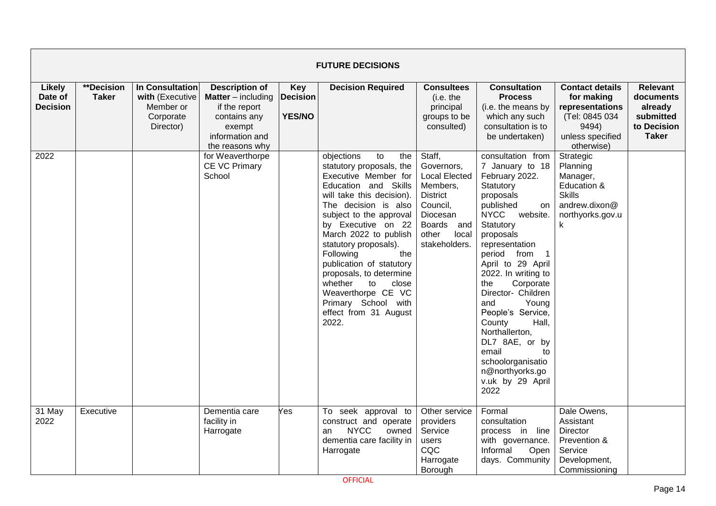|                                             |                                   |                                                                           |                                                                                                                                     |                                                | <b>FUTURE DECISIONS</b>                                                                                                                                                                                                                                                                                                                                                                                                                         |                                                                                                                                                                |                                                                                                                                                                                                                                                                                                                                                                                                                                                                                  |                                                                                                                      |                                                                                     |
|---------------------------------------------|-----------------------------------|---------------------------------------------------------------------------|-------------------------------------------------------------------------------------------------------------------------------------|------------------------------------------------|-------------------------------------------------------------------------------------------------------------------------------------------------------------------------------------------------------------------------------------------------------------------------------------------------------------------------------------------------------------------------------------------------------------------------------------------------|----------------------------------------------------------------------------------------------------------------------------------------------------------------|----------------------------------------------------------------------------------------------------------------------------------------------------------------------------------------------------------------------------------------------------------------------------------------------------------------------------------------------------------------------------------------------------------------------------------------------------------------------------------|----------------------------------------------------------------------------------------------------------------------|-------------------------------------------------------------------------------------|
| <b>Likely</b><br>Date of<br><b>Decision</b> | <b>**Decision</b><br><b>Taker</b> | In Consultation<br>with (Executive<br>Member or<br>Corporate<br>Director) | <b>Description of</b><br><b>Matter</b> – including<br>if the report<br>contains any<br>exempt<br>information and<br>the reasons why | <b>Key</b><br><b>Decision</b><br><b>YES/NO</b> | <b>Decision Required</b>                                                                                                                                                                                                                                                                                                                                                                                                                        | <b>Consultees</b><br>(i.e. the<br>principal<br>groups to be<br>consulted)                                                                                      | <b>Consultation</b><br><b>Process</b><br>(i.e. the means by<br>which any such<br>consultation is to<br>be undertaken)                                                                                                                                                                                                                                                                                                                                                            | <b>Contact details</b><br>for making<br>representations<br>(Tel: 0845 034<br>9494)<br>unless specified<br>otherwise) | <b>Relevant</b><br>documents<br>already<br>submitted<br>to Decision<br><b>Taker</b> |
| 2022                                        |                                   |                                                                           | for Weaverthorpe<br><b>CE VC Primary</b><br>School                                                                                  |                                                | objections<br>to<br>the<br>statutory proposals, the<br>Executive Member for<br>Education and Skills<br>will take this decision).<br>The decision is also<br>subject to the approval<br>by Executive on 22<br>March 2022 to publish<br>statutory proposals).<br>Following<br>the<br>publication of statutory<br>proposals, to determine<br>whether<br>to<br>close<br>Weaverthorpe CE VC<br>Primary School with<br>effect from 31 August<br>2022. | Staff,<br>Governors,<br><b>Local Elected</b><br>Members,<br><b>District</b><br>Council,<br>Diocesan<br><b>Boards</b><br>and<br>other<br>local<br>stakeholders. | consultation from<br>7 January to 18<br>February 2022.<br>Statutory<br>proposals<br>published<br>on<br><b>NYCC</b><br>website.<br>Statutory<br>proposals<br>representation<br>period from<br>$\overline{1}$<br>April to 29 April<br>2022. In writing to<br>Corporate<br>the<br>Director- Children<br>Young<br>and<br>People's Service,<br>County<br>Hall,<br>Northallerton,<br>DL7 8AE, or by<br>email<br>to<br>schoolorganisatio<br>n@northyorks.go<br>v.uk by 29 April<br>2022 | Strategic<br>Planning<br>Manager,<br>Education &<br><b>Skills</b><br>andrew.dixon@<br>northyorks.gov.u<br>k.         |                                                                                     |
| 31 May<br>2022                              | Executive                         |                                                                           | Dementia care<br>facility in<br>Harrogate                                                                                           | 'es                                            | To seek approval to<br>construct and operate<br><b>NYCC</b><br>owned<br>an<br>dementia care facility in<br>Harrogate                                                                                                                                                                                                                                                                                                                            | Other service<br>providers<br>Service<br>users<br>CQC<br>Harrogate<br>Borough                                                                                  | Formal<br>consultation<br>process in line<br>with governance.<br>Informal<br>Open<br>days. Community                                                                                                                                                                                                                                                                                                                                                                             | Dale Owens,<br>Assistant<br><b>Director</b><br>Prevention &<br>Service<br>Development,<br>Commissioning              |                                                                                     |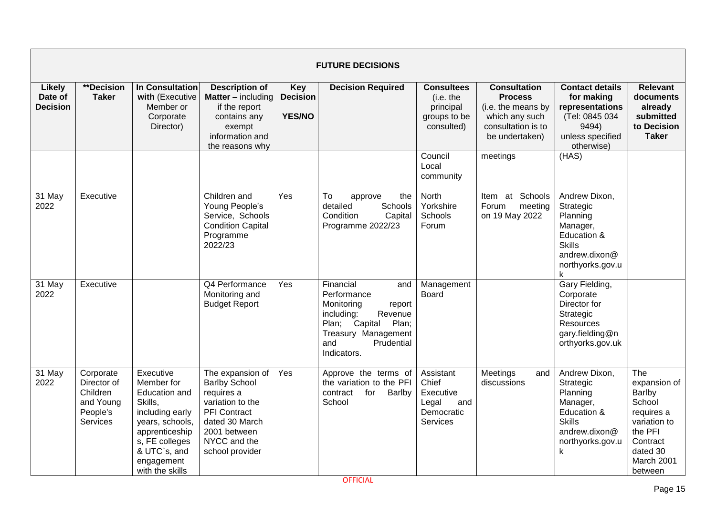|                                             |                                                                           |                                                                                                                                                                                |                                                                                                                                                                        |                                                | <b>FUTURE DECISIONS</b>                                                                                                                                                  |                                                                           |                                                                                                                       |                                                                                                                              |                                                                                                                                   |
|---------------------------------------------|---------------------------------------------------------------------------|--------------------------------------------------------------------------------------------------------------------------------------------------------------------------------|------------------------------------------------------------------------------------------------------------------------------------------------------------------------|------------------------------------------------|--------------------------------------------------------------------------------------------------------------------------------------------------------------------------|---------------------------------------------------------------------------|-----------------------------------------------------------------------------------------------------------------------|------------------------------------------------------------------------------------------------------------------------------|-----------------------------------------------------------------------------------------------------------------------------------|
| <b>Likely</b><br>Date of<br><b>Decision</b> | **Decision<br><b>Taker</b>                                                | <b>In Consultation</b><br>with (Executive<br>Member or<br>Corporate<br>Director)                                                                                               | <b>Description of</b><br><b>Matter</b> $-$ including<br>if the report<br>contains any<br>exempt<br>information and<br>the reasons why                                  | <b>Key</b><br><b>Decision</b><br><b>YES/NO</b> | <b>Decision Required</b>                                                                                                                                                 | <b>Consultees</b><br>(i.e. the<br>principal<br>groups to be<br>consulted) | <b>Consultation</b><br><b>Process</b><br>(i.e. the means by<br>which any such<br>consultation is to<br>be undertaken) | <b>Contact details</b><br>for making<br>representations<br>(Tel: 0845 034<br>9494)<br>unless specified<br>otherwise)         | <b>Relevant</b><br>documents<br>already<br>submitted<br>to Decision<br><b>Taker</b>                                               |
|                                             |                                                                           |                                                                                                                                                                                |                                                                                                                                                                        |                                                |                                                                                                                                                                          | Council<br>Local<br>community                                             | meetings                                                                                                              | (HAS)                                                                                                                        |                                                                                                                                   |
| 31 May<br>2022                              | Executive                                                                 |                                                                                                                                                                                | Children and<br>Young People's<br>Service, Schools<br><b>Condition Capital</b><br>Programme<br>2022/23                                                                 | Yes                                            | To<br>the<br>approve<br>detailed<br>Schools<br>Condition<br>Capital<br>Programme 2022/23                                                                                 | North<br>Yorkshire<br>Schools<br>Forum                                    | Item at Schools<br>Forum<br>meeting<br>on 19 May 2022                                                                 | Andrew Dixon,<br>Strategic<br>Planning<br>Manager,<br>Education &<br><b>Skills</b><br>andrew.dixon@<br>northyorks.gov.u      |                                                                                                                                   |
| 31 May<br>2022                              | Executive                                                                 |                                                                                                                                                                                | Q4 Performance<br>Monitoring and<br><b>Budget Report</b>                                                                                                               | Yes                                            | Financial<br>and<br>Performance<br>Monitoring<br>report<br>including:<br>Revenue<br>Capital<br>Plan;<br>Plan;<br>Treasury Management<br>Prudential<br>and<br>Indicators. | Management<br><b>Board</b>                                                |                                                                                                                       | Gary Fielding,<br>Corporate<br>Director for<br>Strategic<br>Resources<br>gary.fielding@n<br>orthyorks.gov.uk                 |                                                                                                                                   |
| 31 May<br>2022                              | Corporate<br>Director of<br>Children<br>and Young<br>People's<br>Services | Executive<br>Member for<br>Education and<br>Skills,<br>including early<br>years, schools,<br>apprenticeship<br>s, FE colleges<br>& UTC`s, and<br>engagement<br>with the skills | The expansion of<br><b>Barlby School</b><br>requires a<br>variation to the<br><b>PFI</b> Contract<br>dated 30 March<br>2001 between<br>NYCC and the<br>school provider | Yes                                            | Approve the terms of<br>the variation to the PFI<br>contract<br>for<br>Barlby<br>School                                                                                  | Assistant<br>Chief<br>Executive<br>Legal<br>and<br>Democratic<br>Services | Meetings<br>and<br>discussions                                                                                        | Andrew Dixon,<br>Strategic<br>Planning<br>Manager,<br>Education &<br><b>Skills</b><br>andrew.dixon@<br>northyorks.gov.u<br>k | The<br>expansion of<br>Barlby<br>School<br>requires a<br>variation to<br>the PFI<br>Contract<br>dated 30<br>March 2001<br>between |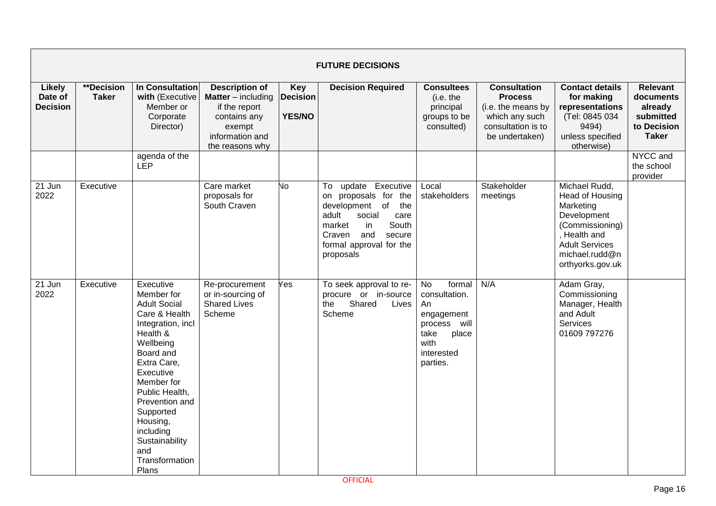|                                      |                            |                                                                                                                                                                                                                                                                                                    |                                                                                                                                     |                                                | <b>FUTURE DECISIONS</b>                                                                                                                                                                     |                                                                                                                                |                                                                                                                       |                                                                                                                                                                |                                                                                     |
|--------------------------------------|----------------------------|----------------------------------------------------------------------------------------------------------------------------------------------------------------------------------------------------------------------------------------------------------------------------------------------------|-------------------------------------------------------------------------------------------------------------------------------------|------------------------------------------------|---------------------------------------------------------------------------------------------------------------------------------------------------------------------------------------------|--------------------------------------------------------------------------------------------------------------------------------|-----------------------------------------------------------------------------------------------------------------------|----------------------------------------------------------------------------------------------------------------------------------------------------------------|-------------------------------------------------------------------------------------|
| Likely<br>Date of<br><b>Decision</b> | **Decision<br><b>Taker</b> | In Consultation<br>with (Executive<br>Member or<br>Corporate<br>Director)                                                                                                                                                                                                                          | <b>Description of</b><br><b>Matter</b> – including<br>if the report<br>contains any<br>exempt<br>information and<br>the reasons why | <b>Key</b><br><b>Decision</b><br><b>YES/NO</b> | <b>Decision Required</b>                                                                                                                                                                    | <b>Consultees</b><br>(i.e. the<br>principal<br>groups to be<br>consulted)                                                      | <b>Consultation</b><br><b>Process</b><br>(i.e. the means by<br>which any such<br>consultation is to<br>be undertaken) | <b>Contact details</b><br>for making<br>representations<br>(Tel: 0845 034<br>9494)<br>unless specified<br>otherwise)                                           | <b>Relevant</b><br>documents<br>already<br>submitted<br>to Decision<br><b>Taker</b> |
|                                      |                            | agenda of the<br>LEP                                                                                                                                                                                                                                                                               |                                                                                                                                     |                                                |                                                                                                                                                                                             |                                                                                                                                |                                                                                                                       |                                                                                                                                                                | NYCC and<br>the school<br>provider                                                  |
| 21 Jun<br>2022                       | Executive                  |                                                                                                                                                                                                                                                                                                    | Care market<br>proposals for<br>South Craven                                                                                        | No.                                            | To update Executive<br>on proposals for the<br>development of<br>the<br>adult<br>social<br>care<br>market<br>in<br>South<br>and<br>Craven<br>secure<br>formal approval for the<br>proposals | Local<br>stakeholders                                                                                                          | Stakeholder<br>meetings                                                                                               | Michael Rudd,<br>Head of Housing<br>Marketing<br>Development<br>(Commissioning)<br>, Health and<br><b>Adult Services</b><br>michael.rudd@n<br>orthyorks.gov.uk |                                                                                     |
| 21 Jun<br>2022                       | Executive                  | Executive<br>Member for<br><b>Adult Social</b><br>Care & Health<br>Integration, incl<br>Health &<br>Wellbeing<br>Board and<br>Extra Care,<br>Executive<br>Member for<br>Public Health,<br>Prevention and<br>Supported<br>Housing,<br>including<br>Sustainability<br>and<br>Transformation<br>Plans | Re-procurement<br>or in-sourcing of<br><b>Shared Lives</b><br>Scheme                                                                | Yes                                            | To seek approval to re-<br>procure or in-source<br>Shared<br>the<br>Lives<br>Scheme                                                                                                         | <b>No</b><br>formal<br>consultation.<br>An<br>engagement<br>will<br>process<br>take<br>place<br>with<br>interested<br>parties. | N/A                                                                                                                   | Adam Gray,<br>Commissioning<br>Manager, Health<br>and Adult<br><b>Services</b><br>01609 797276                                                                 |                                                                                     |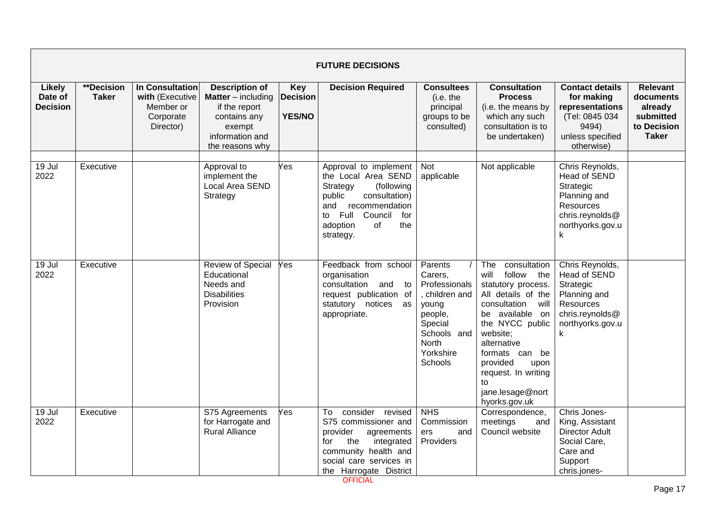|                                             |                            |                                                                           |                                                                                                                                     |                                                | <b>FUTURE DECISIONS</b>                                                                                                                                                                          |                                                                                                                                    |                                                                                                                                                                                                                                                                                     |                                                                                                                              |                                                                                     |
|---------------------------------------------|----------------------------|---------------------------------------------------------------------------|-------------------------------------------------------------------------------------------------------------------------------------|------------------------------------------------|--------------------------------------------------------------------------------------------------------------------------------------------------------------------------------------------------|------------------------------------------------------------------------------------------------------------------------------------|-------------------------------------------------------------------------------------------------------------------------------------------------------------------------------------------------------------------------------------------------------------------------------------|------------------------------------------------------------------------------------------------------------------------------|-------------------------------------------------------------------------------------|
| <b>Likely</b><br>Date of<br><b>Decision</b> | **Decision<br><b>Taker</b> | In Consultation<br>with (Executive<br>Member or<br>Corporate<br>Director) | <b>Description of</b><br><b>Matter</b> – including<br>if the report<br>contains any<br>exempt<br>information and<br>the reasons why | <b>Key</b><br><b>Decision</b><br><b>YES/NO</b> | <b>Decision Required</b>                                                                                                                                                                         | <b>Consultees</b><br>(i.e. the<br>principal<br>groups to be<br>consulted)                                                          | <b>Consultation</b><br><b>Process</b><br>(i.e. the means by<br>which any such<br>consultation is to<br>be undertaken)                                                                                                                                                               | <b>Contact details</b><br>for making<br>representations<br>(Tel: 0845 034<br>9494)<br>unless specified<br>otherwise)         | <b>Relevant</b><br>documents<br>already<br>submitted<br>to Decision<br><b>Taker</b> |
| $19$ Jul<br>2022                            | Executive                  |                                                                           | Approval to<br>implement the<br>Local Area SEND<br>Strategy                                                                         | Yes                                            | Approval to implement<br>the Local Area SEND<br>Strategy<br>(following<br>public<br>consultation)<br>recommendation<br>and<br>Full<br>Council<br>for<br>to<br>adoption<br>of<br>the<br>strategy. | Not<br>applicable                                                                                                                  | Not applicable                                                                                                                                                                                                                                                                      | Chris Reynolds,<br><b>Head of SEND</b><br>Strategic<br>Planning and<br>Resources<br>chris.reynolds@<br>northyorks.gov.u<br>k |                                                                                     |
| 19 Jul<br>2022                              | Executive                  |                                                                           | <b>Review of Special</b><br>Educational<br>Needs and<br><b>Disabilities</b><br>Provision                                            | Yes                                            | Feedback from school<br>organisation<br>consultation<br>and<br>to<br>request publication of<br>statutory notices as<br>appropriate.                                                              | Parents<br>Carers,<br>Professionals<br>children and<br>young<br>people,<br>Special<br>Schools and<br>North<br>Yorkshire<br>Schools | consultation<br>The<br>follow the<br>will<br>statutory process.<br>All details of the<br>consultation will<br>be available on<br>the NYCC public<br>website;<br>alternative<br>formats can be<br>provided<br>upon<br>request. In writing<br>to<br>jane.lesage@nort<br>hyorks.gov.uk | Chris Reynolds,<br>Head of SEND<br>Strategic<br>Planning and<br>Resources<br>chris.reynolds@<br>northyorks.gov.u<br>k        |                                                                                     |
| 19 Jul<br>2022                              | Executive                  |                                                                           | S75 Agreements<br>for Harrogate and<br><b>Rural Alliance</b>                                                                        | Yes                                            | consider<br>To<br>revised<br>S75 commissioner and<br>provider<br>agreements<br>the<br>integrated<br>for<br>community health and<br>social care services in<br>the Harrogate District             | <b>NHS</b><br>Commission<br>ers<br>and<br>Providers                                                                                | Correspondence,<br>meetings<br>and<br>Council website                                                                                                                                                                                                                               | Chris Jones-<br>King, Assistant<br><b>Director Adult</b><br>Social Care,<br>Care and<br>Support<br>chris.jones-              |                                                                                     |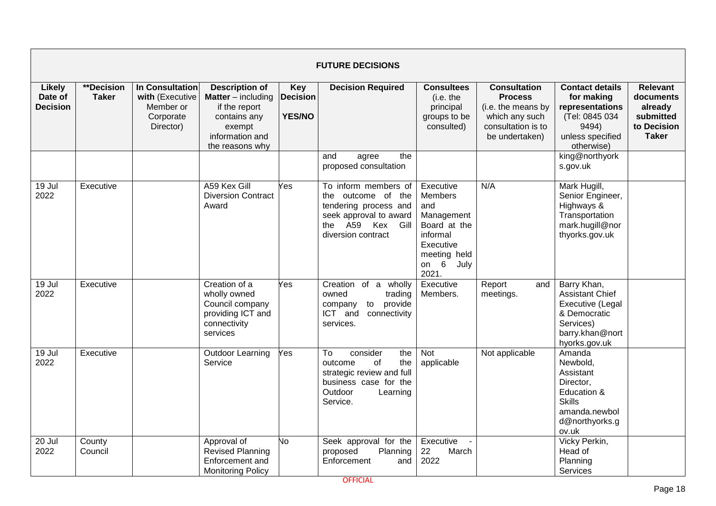|                                             |                            |                                                                           |                                                                                                                                     |                                                | <b>FUTURE DECISIONS</b>                                                                                                                 |                                                                                                                                      |                                                                                                                       |                                                                                                                            |                                                                                     |
|---------------------------------------------|----------------------------|---------------------------------------------------------------------------|-------------------------------------------------------------------------------------------------------------------------------------|------------------------------------------------|-----------------------------------------------------------------------------------------------------------------------------------------|--------------------------------------------------------------------------------------------------------------------------------------|-----------------------------------------------------------------------------------------------------------------------|----------------------------------------------------------------------------------------------------------------------------|-------------------------------------------------------------------------------------|
| <b>Likely</b><br>Date of<br><b>Decision</b> | **Decision<br><b>Taker</b> | In Consultation<br>with (Executive<br>Member or<br>Corporate<br>Director) | <b>Description of</b><br><b>Matter</b> – including<br>if the report<br>contains any<br>exempt<br>information and<br>the reasons why | <b>Key</b><br><b>Decision</b><br><b>YES/NO</b> | <b>Decision Required</b>                                                                                                                | <b>Consultees</b><br>(i.e. the<br>principal<br>groups to be<br>consulted)                                                            | <b>Consultation</b><br><b>Process</b><br>(i.e. the means by<br>which any such<br>consultation is to<br>be undertaken) | <b>Contact details</b><br>for making<br>representations<br>(Tel: 0845 034<br>9494)<br>unless specified<br>otherwise)       | <b>Relevant</b><br>documents<br>already<br>submitted<br>to Decision<br><b>Taker</b> |
|                                             |                            |                                                                           |                                                                                                                                     |                                                | the<br>and<br>agree<br>proposed consultation                                                                                            |                                                                                                                                      |                                                                                                                       | king@northyork<br>s.gov.uk                                                                                                 |                                                                                     |
| 19 Jul<br>2022                              | Executive                  |                                                                           | A59 Kex Gill<br><b>Diversion Contract</b><br>Award                                                                                  | Yes                                            | To inform members of<br>the outcome of the<br>tendering process and<br>seek approval to award<br>the A59 Kex Gill<br>diversion contract | Executive<br><b>Members</b><br>and<br>Management<br>Board at the<br>informal<br>Executive<br>meeting held<br>on $6$<br>July<br>2021. | N/A                                                                                                                   | Mark Hugill,<br>Senior Engineer,<br>Highways &<br>Transportation<br>mark.hugill@nor<br>thyorks.gov.uk                      |                                                                                     |
| 19 Jul<br>2022                              | Executive                  |                                                                           | Creation of a<br>wholly owned<br>Council company<br>providing ICT and<br>connectivity<br>services                                   | Yes                                            | Creation of a wholly<br>owned<br>trading<br>to provide<br>company<br>ICT and<br>connectivity<br>services.                               | Executive<br>Members.                                                                                                                | Report<br>and<br>meetings.                                                                                            | Barry Khan,<br><b>Assistant Chief</b><br>Executive (Legal<br>& Democratic<br>Services)<br>barry.khan@nort<br>hyorks.gov.uk |                                                                                     |
| 19 Jul<br>2022                              | Executive                  |                                                                           | <b>Outdoor Learning</b><br>Service                                                                                                  | Yes                                            | consider<br>To<br>the<br>of<br>the<br>outcome<br>strategic review and full<br>business case for the<br>Outdoor<br>Learning<br>Service.  | Not<br>applicable                                                                                                                    | Not applicable                                                                                                        | Amanda<br>Newbold,<br>Assistant<br>Director,<br>Education &<br><b>Skills</b><br>amanda.newbol<br>d@northyorks.g<br>ov.uk   |                                                                                     |
| 20 Jul<br>2022                              | County<br>Council          |                                                                           | Approval of<br><b>Revised Planning</b><br>Enforcement and<br><b>Monitoring Policy</b>                                               | Vo                                             | Seek approval for the<br>proposed<br>Planning<br>Enforcement<br>and                                                                     | Executive<br>22<br>March<br>2022                                                                                                     |                                                                                                                       | Vicky Perkin,<br>Head of<br>Planning<br>Services                                                                           |                                                                                     |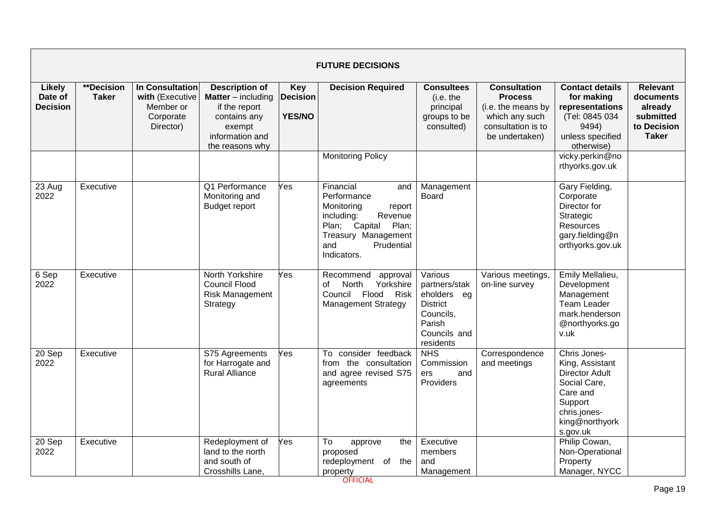|                                             |                                   |                                                                           |                                                                                                                                     |                                                | <b>FUTURE DECISIONS</b>                                                                                                                                               |                                                                                                                |                                                                                                                       |                                                                                                                                               |                                                                                     |
|---------------------------------------------|-----------------------------------|---------------------------------------------------------------------------|-------------------------------------------------------------------------------------------------------------------------------------|------------------------------------------------|-----------------------------------------------------------------------------------------------------------------------------------------------------------------------|----------------------------------------------------------------------------------------------------------------|-----------------------------------------------------------------------------------------------------------------------|-----------------------------------------------------------------------------------------------------------------------------------------------|-------------------------------------------------------------------------------------|
| <b>Likely</b><br>Date of<br><b>Decision</b> | <b>**Decision</b><br><b>Taker</b> | In Consultation<br>with (Executive<br>Member or<br>Corporate<br>Director) | <b>Description of</b><br><b>Matter</b> – including<br>if the report<br>contains any<br>exempt<br>information and<br>the reasons why | <b>Key</b><br><b>Decision</b><br><b>YES/NO</b> | <b>Decision Required</b>                                                                                                                                              | <b>Consultees</b><br>(i.e. the<br>principal<br>groups to be<br>consulted)                                      | <b>Consultation</b><br><b>Process</b><br>(i.e. the means by<br>which any such<br>consultation is to<br>be undertaken) | <b>Contact details</b><br>for making<br>representations<br>(Tel: 0845 034<br>9494)<br>unless specified<br>otherwise)                          | <b>Relevant</b><br>documents<br>already<br>submitted<br>to Decision<br><b>Taker</b> |
|                                             |                                   |                                                                           |                                                                                                                                     |                                                | <b>Monitoring Policy</b>                                                                                                                                              |                                                                                                                |                                                                                                                       | vicky.perkin@no<br>rthyorks.gov.uk                                                                                                            |                                                                                     |
| 23 Aug<br>2022                              | Executive                         |                                                                           | Q1 Performance<br>Monitoring and<br><b>Budget report</b>                                                                            | Yes                                            | Financial<br>and<br>Performance<br>Monitoring<br>report<br>including:<br>Revenue<br>Plan; Capital<br>Plan;<br>Treasury Management<br>and<br>Prudential<br>Indicators. | Management<br><b>Board</b>                                                                                     |                                                                                                                       | Gary Fielding,<br>Corporate<br>Director for<br>Strategic<br>Resources<br>gary.fielding@n<br>orthyorks.gov.uk                                  |                                                                                     |
| 6 Sep<br>2022                               | Executive                         |                                                                           | North Yorkshire<br><b>Council Flood</b><br><b>Risk Management</b><br>Strategy                                                       | Yes                                            | Recommend<br>approval<br>North<br>Yorkshire<br>of<br>Council Flood<br>Risk<br><b>Management Strategy</b>                                                              | Various<br>partners/stak<br>eholders eg<br><b>District</b><br>Councils,<br>Parish<br>Councils and<br>residents | Various meetings,<br>on-line survey                                                                                   | Emily Mellalieu,<br>Development<br>Management<br><b>Team Leader</b><br>mark.henderson<br>@northyorks.go<br>v.uk                               |                                                                                     |
| $20$ Sep<br>2022                            | Executive                         |                                                                           | S75 Agreements<br>for Harrogate and<br><b>Rural Alliance</b>                                                                        | Yes                                            | To consider feedback<br>from the consultation<br>and agree revised S75<br>agreements                                                                                  | <b>NHS</b><br>Commission<br>ers<br>and<br>Providers                                                            | Correspondence<br>and meetings                                                                                        | Chris Jones-<br>King, Assistant<br><b>Director Adult</b><br>Social Care,<br>Care and<br>Support<br>chris.jones-<br>king@northyork<br>s.gov.uk |                                                                                     |
| 20 Sep<br>2022                              | Executive                         |                                                                           | Redeployment of<br>land to the north<br>and south of<br>Crosshills Lane.                                                            | Yes                                            | To<br>the<br>approve<br>proposed<br>redeployment of the<br>property                                                                                                   | Executive<br>members<br>and<br>Management                                                                      |                                                                                                                       | Philip Cowan,<br>Non-Operational<br>Property<br>Manager, NYCC                                                                                 |                                                                                     |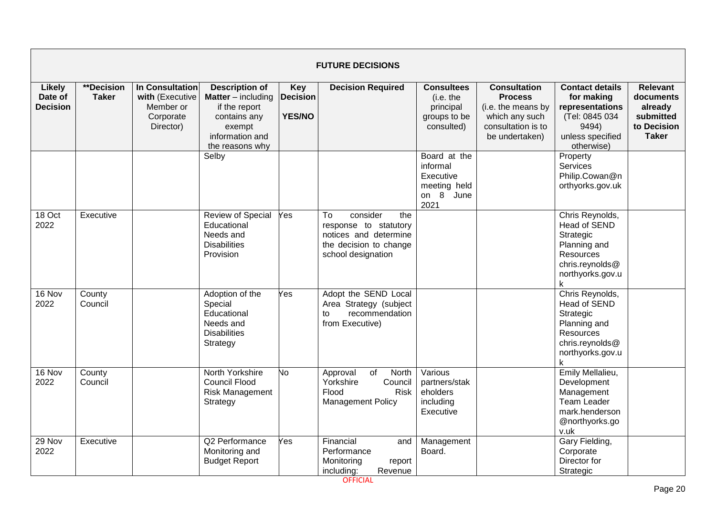|                                             |                            |                                                                                  |                                                                                                                                     |                                                | <b>FUTURE DECISIONS</b>                                                                                                 |                                                                            |                                                                                                                       |                                                                                                                       |                                                                                     |
|---------------------------------------------|----------------------------|----------------------------------------------------------------------------------|-------------------------------------------------------------------------------------------------------------------------------------|------------------------------------------------|-------------------------------------------------------------------------------------------------------------------------|----------------------------------------------------------------------------|-----------------------------------------------------------------------------------------------------------------------|-----------------------------------------------------------------------------------------------------------------------|-------------------------------------------------------------------------------------|
| <b>Likely</b><br>Date of<br><b>Decision</b> | **Decision<br><b>Taker</b> | <b>In Consultation</b><br>with (Executive<br>Member or<br>Corporate<br>Director) | <b>Description of</b><br><b>Matter</b> – including<br>if the report<br>contains any<br>exempt<br>information and<br>the reasons why | <b>Key</b><br><b>Decision</b><br><b>YES/NO</b> | <b>Decision Required</b>                                                                                                | <b>Consultees</b><br>(i.e. the<br>principal<br>groups to be<br>consulted)  | <b>Consultation</b><br><b>Process</b><br>(i.e. the means by<br>which any such<br>consultation is to<br>be undertaken) | <b>Contact details</b><br>for making<br>representations<br>(Tel: 0845 034<br>9494)<br>unless specified<br>otherwise)  | <b>Relevant</b><br>documents<br>already<br>submitted<br>to Decision<br><b>Taker</b> |
|                                             |                            |                                                                                  | Selby                                                                                                                               |                                                |                                                                                                                         | Board at the<br>informal<br>Executive<br>meeting held<br>on 8 June<br>2021 |                                                                                                                       | Property<br>Services<br>Philip.Cowan@n<br>orthyorks.gov.uk                                                            |                                                                                     |
| 18 Oct<br>2022                              | Executive                  |                                                                                  | <b>Review of Special</b><br>Educational<br>Needs and<br><b>Disabilities</b><br>Provision                                            | Yes                                            | consider<br>To<br>the<br>response to statutory<br>notices and determine<br>the decision to change<br>school designation |                                                                            |                                                                                                                       | Chris Reynolds,<br>Head of SEND<br>Strategic<br>Planning and<br>Resources<br>chris.reynolds@<br>northyorks.gov.u      |                                                                                     |
| 16 Nov<br>2022                              | County<br>Council          |                                                                                  | Adoption of the<br>Special<br>Educational<br>Needs and<br><b>Disabilities</b><br>Strategy                                           | Yes                                            | Adopt the SEND Local<br>Area Strategy (subject<br>recommendation<br>to<br>from Executive)                               |                                                                            |                                                                                                                       | Chris Reynolds,<br>Head of SEND<br>Strategic<br>Planning and<br>Resources<br>chris.reynolds@<br>northyorks.gov.u<br>k |                                                                                     |
| 16 Nov<br>2022                              | County<br>Council          |                                                                                  | North Yorkshire<br><b>Council Flood</b><br><b>Risk Management</b><br>Strategy                                                       | No                                             | of<br>North<br>Approval<br>Yorkshire<br>Council<br>Flood<br>Risk<br><b>Management Policy</b>                            | Various<br>partners/stak<br>eholders<br>including<br>Executive             |                                                                                                                       | Emily Mellalieu,<br>Development<br>Management<br><b>Team Leader</b><br>mark.henderson<br>@northyorks.go<br>v.uk       |                                                                                     |
| 29 Nov<br>2022                              | Executive                  |                                                                                  | Q2 Performance<br>Monitoring and<br><b>Budget Report</b>                                                                            | Yes                                            | Financial<br>and<br>Performance<br>Monitoring<br>report<br>including:<br>Revenue                                        | Management<br>Board.                                                       |                                                                                                                       | Gary Fielding,<br>Corporate<br>Director for<br>Strategic                                                              |                                                                                     |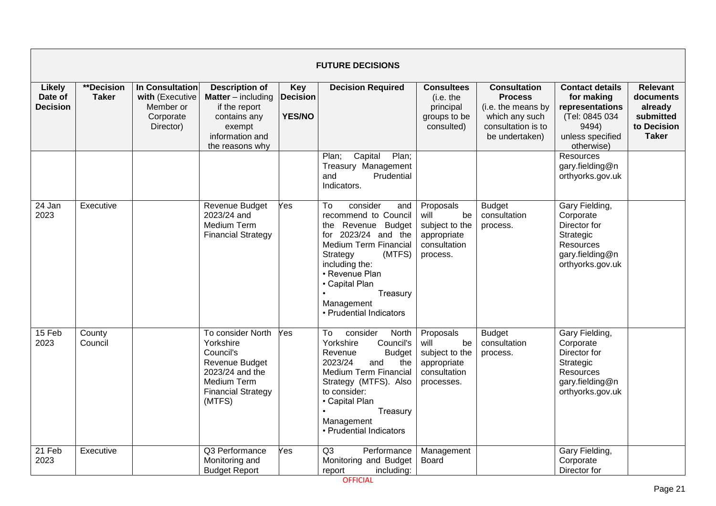|                                             |                                   |                                                                                  |                                                                                                                                        |                                                | <b>FUTURE DECISIONS</b>                                                                                                                                                                                                                                    |                                                                                        |                                                                                                                       |                                                                                                                      |                                                                                     |
|---------------------------------------------|-----------------------------------|----------------------------------------------------------------------------------|----------------------------------------------------------------------------------------------------------------------------------------|------------------------------------------------|------------------------------------------------------------------------------------------------------------------------------------------------------------------------------------------------------------------------------------------------------------|----------------------------------------------------------------------------------------|-----------------------------------------------------------------------------------------------------------------------|----------------------------------------------------------------------------------------------------------------------|-------------------------------------------------------------------------------------|
| <b>Likely</b><br>Date of<br><b>Decision</b> | <b>**Decision</b><br><b>Taker</b> | <b>In Consultation</b><br>with (Executive<br>Member or<br>Corporate<br>Director) | <b>Description of</b><br><b>Matter</b> – including<br>if the report<br>contains any<br>exempt<br>information and<br>the reasons why    | <b>Key</b><br><b>Decision</b><br><b>YES/NO</b> | <b>Decision Required</b>                                                                                                                                                                                                                                   | <b>Consultees</b><br>(i.e. the<br>principal<br>groups to be<br>consulted)              | <b>Consultation</b><br><b>Process</b><br>(i.e. the means by<br>which any such<br>consultation is to<br>be undertaken) | <b>Contact details</b><br>for making<br>representations<br>(Tel: 0845 034<br>9494)<br>unless specified<br>otherwise) | <b>Relevant</b><br>documents<br>already<br>submitted<br>to Decision<br><b>Taker</b> |
|                                             |                                   |                                                                                  |                                                                                                                                        |                                                | Plan;<br>Capital<br>Plan;<br>Treasury Management<br>and<br>Prudential<br>Indicators.                                                                                                                                                                       |                                                                                        |                                                                                                                       | Resources<br>gary.fielding@n<br>orthyorks.gov.uk                                                                     |                                                                                     |
| 24 Jan<br>2023                              | Executive                         |                                                                                  | Revenue Budget<br>2023/24 and<br>Medium Term<br><b>Financial Strategy</b>                                                              | Yes                                            | To<br>consider<br>and<br>recommend to Council<br>the Revenue<br>Budget<br>2023/24 and the<br>for<br>Medium Term Financial<br>Strategy<br>(MTFS)<br>including the:<br>• Revenue Plan<br>• Capital Plan<br>Treasury<br>Management<br>• Prudential Indicators | Proposals<br>will<br>be<br>subject to the<br>appropriate<br>consultation<br>process.   | <b>Budget</b><br>consultation<br>process.                                                                             | Gary Fielding,<br>Corporate<br>Director for<br>Strategic<br>Resources<br>gary.fielding@n<br>orthyorks.gov.uk         |                                                                                     |
| 15 Feb<br>2023                              | County<br>Council                 |                                                                                  | To consider North<br>Yorkshire<br>Council's<br>Revenue Budget<br>2023/24 and the<br>Medium Term<br><b>Financial Strategy</b><br>(MTFS) | Yes                                            | consider<br>To<br>North<br>Yorkshire<br>Council's<br>Revenue<br><b>Budget</b><br>2023/24<br>the<br>and<br>Medium Term Financial<br>Strategy (MTFS). Also<br>to consider:<br>• Capital Plan<br>Treasury<br>Management<br>• Prudential Indicators            | Proposals<br>will<br>be<br>subject to the<br>appropriate<br>consultation<br>processes. | <b>Budget</b><br>consultation<br>process.                                                                             | Gary Fielding,<br>Corporate<br>Director for<br>Strategic<br>Resources<br>gary.fielding@n<br>orthyorks.gov.uk         |                                                                                     |
| $21$ Feb<br>2023                            | Executive                         |                                                                                  | Q3 Performance<br>Monitoring and<br><b>Budget Report</b>                                                                               | Yes                                            | Q3<br>Performance<br>Monitoring and Budget<br>including:<br>report                                                                                                                                                                                         | Management<br>Board                                                                    |                                                                                                                       | Gary Fielding,<br>Corporate<br>Director for                                                                          |                                                                                     |